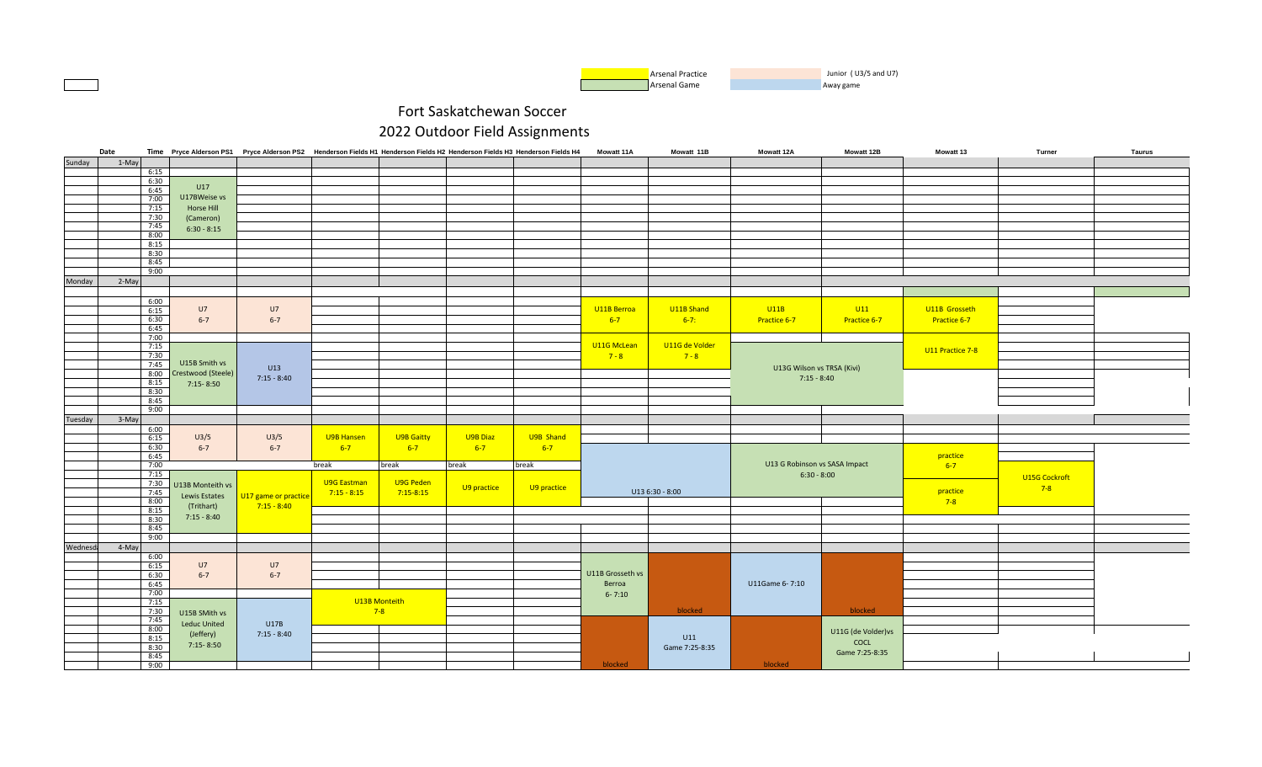

|          | Date         |                         | Time Pryce Alderson PS1 Pryce Alderson PS2 Henderson Fields H1 Henderson Fields H2 Henderson Fields H3 Henderson Fields H4 |                    |               |             |             | <b>Mowatt 11A</b> | Mowatt 11B      | <b>Mowatt 12A</b>             | Mowatt 12B          | <b>Mowatt 13</b> | Turner        | Taurus |
|----------|--------------|-------------------------|----------------------------------------------------------------------------------------------------------------------------|--------------------|---------------|-------------|-------------|-------------------|-----------------|-------------------------------|---------------------|------------------|---------------|--------|
| Sunday   | 1-May        |                         |                                                                                                                            |                    |               |             |             |                   |                 |                               |                     |                  |               |        |
|          | 6:15         |                         |                                                                                                                            |                    |               |             |             |                   |                 |                               |                     |                  |               |        |
|          | 6:30         |                         |                                                                                                                            |                    |               |             |             |                   |                 |                               |                     |                  |               |        |
|          | 6:45         | U17                     |                                                                                                                            |                    |               |             |             |                   |                 |                               |                     |                  |               |        |
|          | 7:00         | U17BWeise vs            |                                                                                                                            |                    |               |             |             |                   |                 |                               |                     |                  |               |        |
|          | 7:15         | Horse Hill              |                                                                                                                            |                    |               |             |             |                   |                 |                               |                     |                  |               |        |
|          |              |                         |                                                                                                                            |                    |               |             |             |                   |                 |                               |                     |                  |               |        |
|          | 7:30         | (Cameron)               |                                                                                                                            |                    |               |             |             |                   |                 |                               |                     |                  |               |        |
|          | 7:45         | $6:30 - 8:15$           |                                                                                                                            |                    |               |             |             |                   |                 |                               |                     |                  |               |        |
|          | 8:00         |                         |                                                                                                                            |                    |               |             |             |                   |                 |                               |                     |                  |               |        |
|          | 8:15         |                         |                                                                                                                            |                    |               |             |             |                   |                 |                               |                     |                  |               |        |
|          | 8:30         |                         |                                                                                                                            |                    |               |             |             |                   |                 |                               |                     |                  |               |        |
|          | 8:45         |                         |                                                                                                                            |                    |               |             |             |                   |                 |                               |                     |                  |               |        |
|          | 9:00         |                         |                                                                                                                            |                    |               |             |             |                   |                 |                               |                     |                  |               |        |
| Monday   | 2-May        |                         |                                                                                                                            |                    |               |             |             |                   |                 |                               |                     |                  |               |        |
|          |              |                         |                                                                                                                            |                    |               |             |             |                   |                 |                               |                     |                  |               |        |
|          | 6:00         |                         |                                                                                                                            |                    |               |             |             |                   |                 |                               |                     |                  |               |        |
|          | 6:15         | U7                      | U7                                                                                                                         |                    |               |             |             | U11B Berroa       | U11B Shand      | U11B                          | U11                 | U11B Grosseth    |               |        |
|          | 6:30         | $6 - 7$                 | $6 - 7$                                                                                                                    |                    |               |             |             | $6 - 7$           | $6-7$ :         | Practice 6-7                  | Practice 6-7        | Practice 6-7     |               |        |
|          | 6:45         |                         |                                                                                                                            |                    |               |             |             |                   |                 |                               |                     |                  |               |        |
|          | 7:00         |                         |                                                                                                                            |                    |               |             |             |                   |                 |                               |                     |                  |               |        |
|          | 7:15         |                         |                                                                                                                            |                    |               |             |             | U11G McLean       | U11G de Volder  |                               |                     |                  |               |        |
|          | 7:30         |                         |                                                                                                                            |                    |               |             |             |                   | $7 - 8$         |                               |                     | U11 Practice 7-8 |               |        |
|          |              | U15B Smith vs           |                                                                                                                            |                    |               |             |             | $7 - 8$           |                 |                               |                     |                  |               |        |
|          | 7:45         |                         | U13                                                                                                                        |                    |               |             |             |                   |                 | U13G Wilson vs TRSA (Kivi)    |                     |                  |               |        |
|          |              | 8:00 Crestwood (Steele) | $7:15 - 8:40$                                                                                                              |                    |               |             |             |                   |                 | $7:15 - 8:40$                 |                     |                  |               |        |
|          | 8:15         | $7:15 - 8:50$           |                                                                                                                            |                    |               |             |             |                   |                 |                               |                     |                  |               |        |
|          | 8:30         |                         |                                                                                                                            |                    |               |             |             |                   |                 |                               |                     |                  |               |        |
|          | 8:45         |                         |                                                                                                                            |                    |               |             |             |                   |                 |                               |                     |                  |               |        |
|          | 9:00         |                         |                                                                                                                            |                    |               |             |             |                   |                 |                               |                     |                  |               |        |
| Tuesday  | 3-May        |                         |                                                                                                                            |                    |               |             |             |                   |                 |                               |                     |                  |               |        |
|          | 6:00         |                         |                                                                                                                            |                    |               |             |             |                   |                 |                               |                     |                  |               |        |
|          | 6:15         | U3/5                    | U3/5                                                                                                                       | U9B Hansen         | U9B Gaitty    | U9B Diaz    | U9B Shand   |                   |                 |                               |                     |                  |               |        |
|          | 6:30         | $6 - 7$                 | $6 - 7$                                                                                                                    | $6 - 7$            | $6 - 7$       | $6 - 7$     | $6 - 7$     |                   |                 |                               |                     |                  |               |        |
|          | 6:45         |                         |                                                                                                                            |                    |               |             |             |                   |                 |                               |                     | practice         |               |        |
|          | 7:00         |                         |                                                                                                                            | break              | break         | break       | break       |                   |                 | U13 G Robinson vs SASA Impact |                     | $6 - 7$          |               |        |
|          | 7:15         |                         |                                                                                                                            |                    |               |             |             |                   |                 | $6:30 - 8:00$                 |                     |                  | U15G Cockroft |        |
|          | 7:30         | U13B Monteith vs        |                                                                                                                            | <b>U9G Eastman</b> | U9G Peden     | U9 practice | U9 practice |                   |                 |                               |                     |                  | $7 - 8$       |        |
|          | 7:45         | Lewis Estates           | U17 game or practice                                                                                                       | $7:15 - 8:15$      | $7:15 - 8:15$ |             |             |                   | U13 6:30 - 8:00 |                               |                     | practice         |               |        |
|          | 8:00         |                         |                                                                                                                            |                    |               |             |             |                   |                 |                               |                     | $7-8$            |               |        |
|          | 8:15         | (Trithart)              | $7:15 - 8:40$                                                                                                              |                    |               |             |             |                   |                 |                               |                     |                  |               |        |
|          | 8:30         | $7:15 - 8:40$           |                                                                                                                            |                    |               |             |             |                   |                 |                               |                     |                  |               |        |
|          | 8:45         |                         |                                                                                                                            |                    |               |             |             |                   |                 |                               |                     |                  |               |        |
|          | 9:00         |                         |                                                                                                                            |                    |               |             |             |                   |                 |                               |                     |                  |               |        |
| Wednesda | 4-May        |                         |                                                                                                                            |                    |               |             |             |                   |                 |                               |                     |                  |               |        |
|          | 6:00         |                         |                                                                                                                            |                    |               |             |             |                   |                 |                               |                     |                  |               |        |
|          | 6:15         | U7                      | U7                                                                                                                         |                    |               |             |             |                   |                 |                               |                     |                  |               |        |
|          | 6:30         | $6 - 7$                 | $6 - 7$                                                                                                                    |                    |               |             |             | U11B Grosseth vs  |                 |                               |                     |                  |               |        |
|          | 6:45         |                         |                                                                                                                            |                    |               |             |             | Berroa            |                 | U11Game 6-7:10                |                     |                  |               |        |
|          | 7:00         |                         |                                                                                                                            |                    |               |             |             |                   |                 |                               |                     |                  |               |        |
|          | 7:15         |                         |                                                                                                                            |                    | U13B Monteith |             |             | $6 - 7:10$        |                 |                               |                     |                  |               |        |
|          |              |                         |                                                                                                                            |                    |               |             |             |                   | blocked         |                               | blocked             |                  |               |        |
|          | 7:30<br>7:45 | U15B SMith vs           |                                                                                                                            |                    | $7-8$         |             |             |                   |                 |                               |                     |                  |               |        |
|          | 8:00         | <b>Leduc United</b>     | U17B                                                                                                                       |                    |               |             |             |                   |                 |                               |                     |                  |               |        |
|          |              | (Jeffery)               | $7:15 - 8:40$                                                                                                              |                    |               |             |             |                   | U11             |                               | U11G (de Volder) vs |                  |               |        |
|          | 8:15<br>8:30 | $7:15 - 8:50$           |                                                                                                                            |                    |               |             |             |                   |                 |                               | COCL                |                  |               |        |
|          | 8:45         |                         |                                                                                                                            |                    |               |             |             |                   | Game 7:25-8:35  |                               | Game 7:25-8:35      |                  |               |        |
|          |              |                         |                                                                                                                            |                    |               |             |             |                   |                 |                               |                     |                  |               |        |
|          | 9:00         |                         |                                                                                                                            |                    |               |             |             | blocked           |                 | blocked                       |                     |                  |               |        |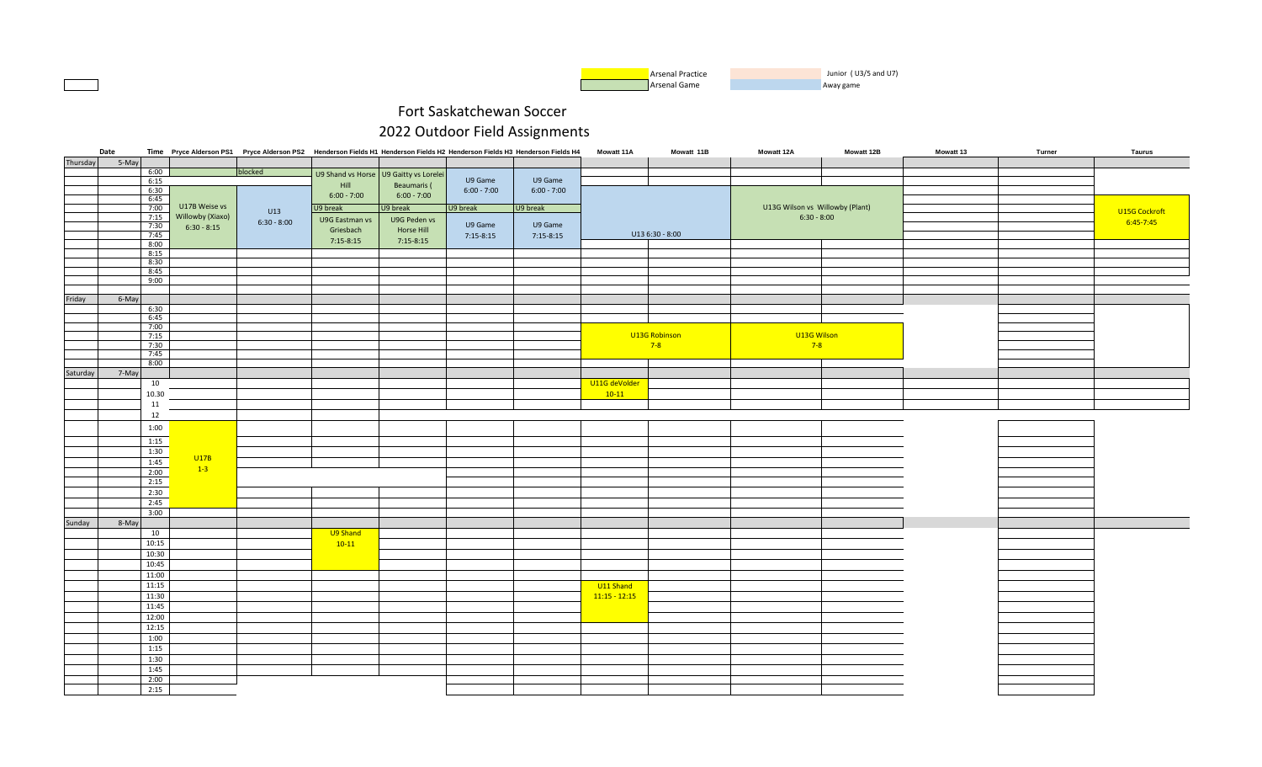

|          | Date  |              |                  | Time Pryce Alderson PS1 Pryce Alderson PS2 Henderson Fields H1 Henderson Fields H2 Henderson Fields H3 Henderson Fields H4 |                |                                        |               |               | <b>Mowatt 11A</b> | Mowatt 11B      | Mowatt 12A                      | Mowatt 12B | Mowatt 13 | Turner | <b>Taurus</b> |
|----------|-------|--------------|------------------|----------------------------------------------------------------------------------------------------------------------------|----------------|----------------------------------------|---------------|---------------|-------------------|-----------------|---------------------------------|------------|-----------|--------|---------------|
| Thursday | 5-May |              |                  |                                                                                                                            |                |                                        |               |               |                   |                 |                                 |            |           |        |               |
|          |       | 6:00         |                  | blocked                                                                                                                    |                | U9 Shand vs Horse U9 Gaitty vs Lorelei |               |               |                   |                 |                                 |            |           |        |               |
|          |       | 6:15         |                  |                                                                                                                            | Hill           | Beaumaris (                            | U9 Game       | U9 Game       |                   |                 |                                 |            |           |        |               |
|          |       | 6:30         |                  |                                                                                                                            | $6:00 - 7:00$  | $6:00 - 7:00$                          | $6:00 - 7:00$ | $6:00 - 7:00$ |                   |                 |                                 |            |           |        |               |
|          |       | 6:45         |                  |                                                                                                                            |                |                                        |               |               |                   |                 |                                 |            |           |        |               |
|          |       | 7:00         | U17B Weise vs    | U13                                                                                                                        | U9 break       | U9 break                               | U9 break      | U9 break      |                   |                 | U13G Wilson vs Willowby (Plant) |            |           |        | U15G Cockroft |
|          |       | 7:15<br>7:30 | Willowby (Xiaxo) | $6:30 - 8:00$                                                                                                              | U9G Eastman vs | U9G Peden vs                           | U9 Game       | U9 Game       |                   |                 | $6:30 - 8:00$                   |            |           |        | $6:45 - 7:45$ |
|          |       | 7:45         | $6:30 - 8:15$    |                                                                                                                            | Griesbach      | Horse Hill                             |               |               |                   | U13 6:30 - 8:00 |                                 |            |           |        |               |
|          |       | 8:00         |                  |                                                                                                                            | $7:15-8:15$    | $7:15 - 8:15$                          | $7:15-8:15$   | $7:15-8:15$   |                   |                 |                                 |            |           |        |               |
|          |       | 8:15         |                  |                                                                                                                            |                |                                        |               |               |                   |                 |                                 |            |           |        |               |
|          |       | 8:30         |                  |                                                                                                                            |                |                                        |               |               |                   |                 |                                 |            |           |        |               |
|          |       | 8:45         |                  |                                                                                                                            |                |                                        |               |               |                   |                 |                                 |            |           |        |               |
|          |       | 9:00         |                  |                                                                                                                            |                |                                        |               |               |                   |                 |                                 |            |           |        |               |
|          |       |              |                  |                                                                                                                            |                |                                        |               |               |                   |                 |                                 |            |           |        |               |
| Friday   | 6-May |              |                  |                                                                                                                            |                |                                        |               |               |                   |                 |                                 |            |           |        |               |
|          |       | 6:30         |                  |                                                                                                                            |                |                                        |               |               |                   |                 |                                 |            |           |        |               |
|          |       | 6:45         |                  |                                                                                                                            |                |                                        |               |               |                   |                 |                                 |            |           |        |               |
|          |       | 7:00         |                  |                                                                                                                            |                |                                        |               |               |                   |                 |                                 |            |           |        |               |
|          |       | 7:15         |                  |                                                                                                                            |                |                                        |               |               |                   | U13G Robinson   | U13G Wilson                     |            |           |        |               |
|          |       | 7:30<br>7:45 |                  |                                                                                                                            |                |                                        |               |               |                   | $7-8$           | $7-8$                           |            |           |        |               |
|          |       | 8:00         |                  |                                                                                                                            |                |                                        |               |               |                   |                 |                                 |            |           |        |               |
| Saturday | 7-May |              |                  |                                                                                                                            |                |                                        |               |               |                   |                 |                                 |            |           |        |               |
|          |       |              |                  |                                                                                                                            |                |                                        |               |               |                   |                 |                                 |            |           |        |               |
|          |       | 10           |                  |                                                                                                                            |                |                                        |               |               | U11G deVolder     |                 |                                 |            |           |        |               |
|          |       | 10.30        |                  |                                                                                                                            |                |                                        |               |               | $10-11$           |                 |                                 |            |           |        |               |
|          |       | 11           |                  |                                                                                                                            |                |                                        |               |               |                   |                 |                                 |            |           |        |               |
|          |       | 12           |                  |                                                                                                                            |                |                                        |               |               |                   |                 |                                 |            |           |        |               |
|          |       | 1:00         |                  |                                                                                                                            |                |                                        |               |               |                   |                 |                                 |            |           |        |               |
|          |       | 1:15         |                  |                                                                                                                            |                |                                        |               |               |                   |                 |                                 |            |           |        |               |
|          |       | 1:30         |                  |                                                                                                                            |                |                                        |               |               |                   |                 |                                 |            |           |        |               |
|          |       |              | U17B             |                                                                                                                            |                |                                        |               |               |                   |                 |                                 |            |           |        |               |
|          |       | 1:45<br>2:00 | $1-3$            |                                                                                                                            |                |                                        |               |               |                   |                 |                                 |            |           |        |               |
|          |       | 2:15         |                  |                                                                                                                            |                |                                        |               |               |                   |                 |                                 |            |           |        |               |
|          |       |              |                  |                                                                                                                            |                |                                        |               |               |                   |                 |                                 |            |           |        |               |
|          |       | 2:30         |                  |                                                                                                                            |                |                                        |               |               |                   |                 |                                 |            |           |        |               |
|          |       | 2:45         |                  |                                                                                                                            |                |                                        |               |               |                   |                 |                                 |            |           |        |               |
|          |       | 3:00         |                  |                                                                                                                            |                |                                        |               |               |                   |                 |                                 |            |           |        |               |
| Sunday   | 8-May |              |                  |                                                                                                                            |                |                                        |               |               |                   |                 |                                 |            |           |        |               |
|          |       | 10           |                  |                                                                                                                            | U9 Shand       |                                        |               |               |                   |                 |                                 |            |           |        |               |
|          |       | 10:15        |                  |                                                                                                                            | $10-11$        |                                        |               |               |                   |                 |                                 |            |           |        |               |
|          |       | 10:30        |                  |                                                                                                                            |                |                                        |               |               |                   |                 |                                 |            |           |        |               |
|          |       | 10:45        |                  |                                                                                                                            |                |                                        |               |               |                   |                 |                                 |            |           |        |               |
|          |       | 11:00        |                  |                                                                                                                            |                |                                        |               |               |                   |                 |                                 |            |           |        |               |
|          |       | 11:15        |                  |                                                                                                                            |                |                                        |               |               | U11 Shand         |                 |                                 |            |           |        |               |
|          |       | 11:30        |                  |                                                                                                                            |                |                                        |               |               | $11:15 - 12:15$   |                 |                                 |            |           |        |               |
|          |       | 11:45        |                  |                                                                                                                            |                |                                        |               |               |                   |                 |                                 |            |           |        |               |
|          |       | 12:00        |                  |                                                                                                                            |                |                                        |               |               |                   |                 |                                 |            |           |        |               |
|          |       | 12:15        |                  |                                                                                                                            |                |                                        |               |               |                   |                 |                                 |            |           |        |               |
|          |       | 1:00         |                  |                                                                                                                            |                |                                        |               |               |                   |                 |                                 |            |           |        |               |
|          |       | 1:15         |                  |                                                                                                                            |                |                                        |               |               |                   |                 |                                 |            |           |        |               |
|          |       | 1:30         |                  |                                                                                                                            |                |                                        |               |               |                   |                 |                                 |            |           |        |               |
|          |       |              |                  |                                                                                                                            |                |                                        |               |               |                   |                 |                                 |            |           |        |               |
|          |       | 1:45         |                  |                                                                                                                            |                |                                        |               |               |                   |                 |                                 |            |           |        |               |
|          |       | 2:00         |                  |                                                                                                                            |                |                                        |               |               |                   |                 |                                 |            |           |        |               |
|          |       | 2:15         |                  |                                                                                                                            |                |                                        |               |               |                   |                 |                                 |            |           |        |               |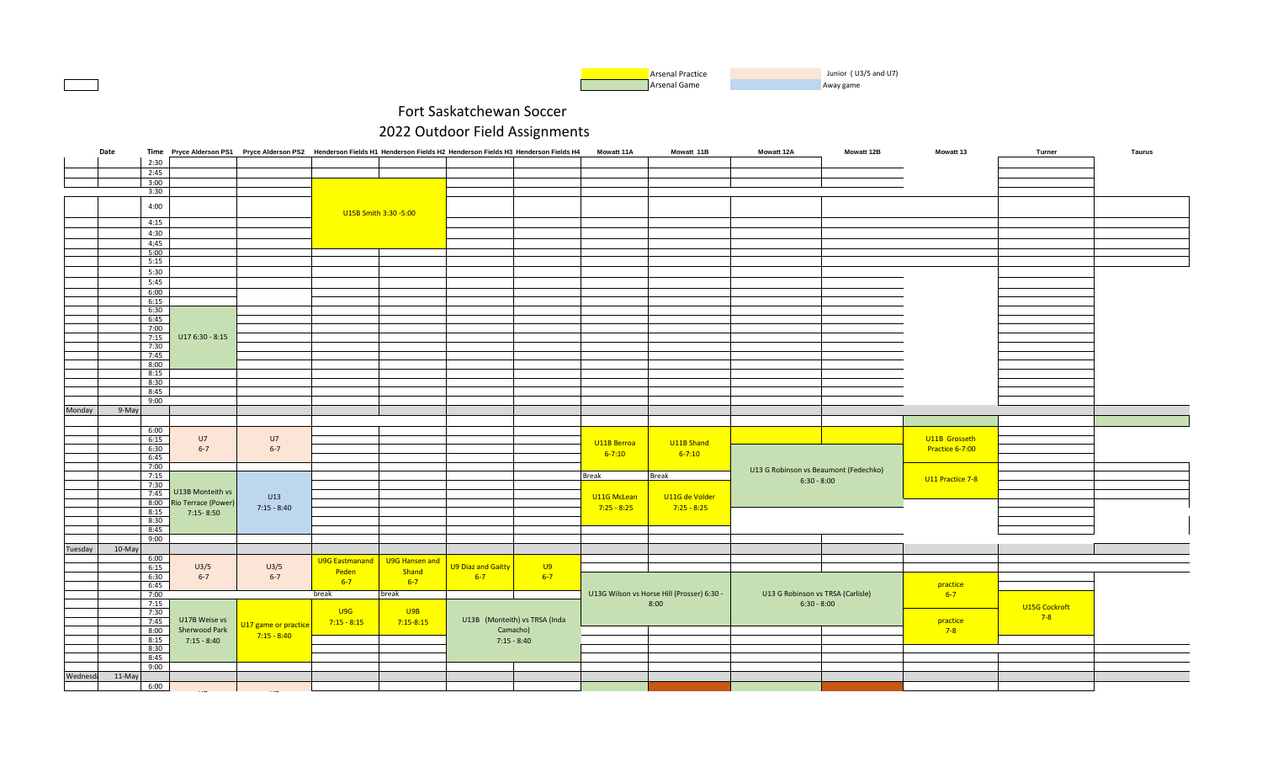

|                 | Date   |      |                          | Time Pryce Alderson PS1 Pryce Alderson PS2 Henderson Fields H1 Henderson Fields H2 Henderson Fields H3 Henderson Fields H4 |                |                       |                               |               | Mowatt 11A    | Mowatt 11B                                 | <b>Mowatt 12A</b>                     | <b>Mowatt 12B</b> | <b>Mowatt 13</b> | Turner        | Taurus |
|-----------------|--------|------|--------------------------|----------------------------------------------------------------------------------------------------------------------------|----------------|-----------------------|-------------------------------|---------------|---------------|--------------------------------------------|---------------------------------------|-------------------|------------------|---------------|--------|
|                 |        | 2:30 |                          |                                                                                                                            |                |                       |                               |               |               |                                            |                                       |                   |                  |               |        |
|                 |        | 2:45 |                          |                                                                                                                            |                |                       |                               |               |               |                                            |                                       |                   |                  |               |        |
|                 |        | 3:00 |                          |                                                                                                                            |                |                       |                               |               |               |                                            |                                       |                   |                  |               |        |
|                 |        | 3:30 |                          |                                                                                                                            |                |                       |                               |               |               |                                            |                                       |                   |                  |               |        |
|                 |        |      |                          |                                                                                                                            |                |                       |                               |               |               |                                            |                                       |                   |                  |               |        |
|                 |        | 4:00 |                          |                                                                                                                            |                |                       |                               |               |               |                                            |                                       |                   |                  |               |        |
|                 |        |      |                          |                                                                                                                            |                | U15B Smith 3:30 -5:00 |                               |               |               |                                            |                                       |                   |                  |               |        |
|                 |        | 4:15 |                          |                                                                                                                            |                |                       |                               |               |               |                                            |                                       |                   |                  |               |        |
|                 |        | 4:30 |                          |                                                                                                                            |                |                       |                               |               |               |                                            |                                       |                   |                  |               |        |
|                 |        |      |                          |                                                                                                                            |                |                       |                               |               |               |                                            |                                       |                   |                  |               |        |
|                 |        | 4;45 |                          |                                                                                                                            |                |                       |                               |               |               |                                            |                                       |                   |                  |               |        |
|                 |        | 5:00 |                          |                                                                                                                            |                |                       |                               |               |               |                                            |                                       |                   |                  |               |        |
|                 |        | 5:15 |                          |                                                                                                                            |                |                       |                               |               |               |                                            |                                       |                   |                  |               |        |
|                 |        | 5:30 |                          |                                                                                                                            |                |                       |                               |               |               |                                            |                                       |                   |                  |               |        |
|                 |        | 5:45 |                          |                                                                                                                            |                |                       |                               |               |               |                                            |                                       |                   |                  |               |        |
|                 |        | 6:00 |                          |                                                                                                                            |                |                       |                               |               |               |                                            |                                       |                   |                  |               |        |
|                 |        | 6:15 |                          |                                                                                                                            |                |                       |                               |               |               |                                            |                                       |                   |                  |               |        |
|                 |        | 6:30 |                          |                                                                                                                            |                |                       |                               |               |               |                                            |                                       |                   |                  |               |        |
|                 |        | 6:45 |                          |                                                                                                                            |                |                       |                               |               |               |                                            |                                       |                   |                  |               |        |
|                 |        | 7:00 |                          |                                                                                                                            |                |                       |                               |               |               |                                            |                                       |                   |                  |               |        |
|                 |        | 7:15 | U17 6:30 - 8:15          |                                                                                                                            |                |                       |                               |               |               |                                            |                                       |                   |                  |               |        |
|                 |        | 7:30 |                          |                                                                                                                            |                |                       |                               |               |               |                                            |                                       |                   |                  |               |        |
|                 |        | 7:45 |                          |                                                                                                                            |                |                       |                               |               |               |                                            |                                       |                   |                  |               |        |
|                 |        |      |                          |                                                                                                                            |                |                       |                               |               |               |                                            |                                       |                   |                  |               |        |
|                 |        | 8:00 |                          |                                                                                                                            |                |                       |                               |               |               |                                            |                                       |                   |                  |               |        |
|                 |        | 8:15 |                          |                                                                                                                            |                |                       |                               |               |               |                                            |                                       |                   |                  |               |        |
|                 |        | 8:30 |                          |                                                                                                                            |                |                       |                               |               |               |                                            |                                       |                   |                  |               |        |
|                 |        | 8:45 |                          |                                                                                                                            |                |                       |                               |               |               |                                            |                                       |                   |                  |               |        |
|                 |        | 9:00 |                          |                                                                                                                            |                |                       |                               |               |               |                                            |                                       |                   |                  |               |        |
| Monday          | 9-May  |      |                          |                                                                                                                            |                |                       |                               |               |               |                                            |                                       |                   |                  |               |        |
|                 |        |      |                          |                                                                                                                            |                |                       |                               |               |               |                                            |                                       |                   |                  |               |        |
|                 |        | 6:00 |                          |                                                                                                                            |                |                       |                               |               |               |                                            |                                       |                   |                  |               |        |
|                 |        | 6:15 | U7                       | U7                                                                                                                         |                |                       |                               |               |               |                                            |                                       |                   | U11B Grosseth    |               |        |
|                 |        | 6:30 | $6 - 7$                  | $6 - 7$                                                                                                                    |                |                       |                               |               | U11B Berroa   | U11B Shand                                 |                                       |                   | Practice 6-7:00  |               |        |
|                 |        | 6:45 |                          |                                                                                                                            |                |                       |                               |               | $6 - 7:10$    | $6 - 7:10$                                 |                                       |                   |                  |               |        |
|                 |        | 7:00 |                          |                                                                                                                            |                |                       |                               |               |               |                                            |                                       |                   |                  |               |        |
|                 |        | 7:15 |                          |                                                                                                                            |                |                       |                               |               | <b>Break</b>  | <b>Break</b>                               | U13 G Robinson vs Beaumont (Fedechko) |                   |                  |               |        |
|                 |        | 7:30 |                          |                                                                                                                            |                |                       |                               |               |               |                                            | $6:30 - 8:00$                         |                   | U11 Practice 7-8 |               |        |
|                 |        |      | 7:45 U13B Monteith vs    |                                                                                                                            |                |                       |                               |               |               |                                            |                                       |                   |                  |               |        |
|                 |        |      | 8:00 Rio Terrace (Power) | U13                                                                                                                        |                |                       |                               |               | U11G McLean   | U11G de Volder                             |                                       |                   |                  |               |        |
|                 |        |      |                          | $7:15 - 8:40$                                                                                                              |                |                       |                               |               | $7:25 - 8:25$ | $7:25 - 8:25$                              |                                       |                   |                  |               |        |
|                 |        | 8:15 | $7:15 - 8:50$            |                                                                                                                            |                |                       |                               |               |               |                                            |                                       |                   |                  |               |        |
|                 |        | 8:30 |                          |                                                                                                                            |                |                       |                               |               |               |                                            |                                       |                   |                  |               |        |
|                 |        | 8:45 |                          |                                                                                                                            |                |                       |                               |               |               |                                            |                                       |                   |                  |               |        |
|                 |        | 9:00 |                          |                                                                                                                            |                |                       |                               |               |               |                                            |                                       |                   |                  |               |        |
| Tuesday         | 10-May |      |                          |                                                                                                                            |                |                       |                               |               |               |                                            |                                       |                   |                  |               |        |
|                 |        | 6:00 |                          |                                                                                                                            | U9G Eastmanand | U9G Hansen and        |                               |               |               |                                            |                                       |                   |                  |               |        |
|                 |        | 6:15 | U3/5                     | U3/5                                                                                                                       | Peden          | Shand                 | U9 Diaz and Gaitty            | U9            |               |                                            |                                       |                   |                  |               |        |
|                 |        | 6:30 | $6 - 7$                  | $6 - 7$                                                                                                                    |                |                       | $6-7$                         | $6 - 7$       |               |                                            |                                       |                   |                  |               |        |
|                 |        | 6:45 |                          |                                                                                                                            | $6-7$          | $6 - 7$               |                               |               |               |                                            |                                       |                   | practice         |               |        |
|                 |        | 7:00 |                          |                                                                                                                            | break          | break                 |                               |               |               | U13G Wilson vs Horse Hill (Prosser) 6:30 - | U13 G Robinson vs TRSA (Carlisle)     |                   | $6-7$            |               |        |
|                 |        | 7:15 |                          |                                                                                                                            |                |                       |                               |               |               | 8:00                                       | $6:30 - 8:00$                         |                   |                  | U15G Cockroft |        |
|                 |        | 7:30 |                          |                                                                                                                            | U9G            | U9B                   |                               |               |               |                                            |                                       |                   |                  |               |        |
|                 |        | 7:45 | U17B Weise vs            |                                                                                                                            | $7:15 - 8:15$  | $7:15 - 8:15$         | U13B (Monteith) vs TRSA (Inda |               |               |                                            |                                       |                   | practice         | $7-8$         |        |
|                 |        | 8:00 | Sherwood Park            | U17 game or practice                                                                                                       |                |                       |                               | Camacho)      |               |                                            |                                       |                   | $7-8$            |               |        |
|                 |        | 8:15 | $7:15 - 8:40$            | $7:15 - 8:40$                                                                                                              |                |                       |                               | $7:15 - 8:40$ |               |                                            |                                       |                   |                  |               |        |
|                 |        | 8:30 |                          |                                                                                                                            |                |                       |                               |               |               |                                            |                                       |                   |                  |               |        |
|                 |        | 8:45 |                          |                                                                                                                            |                |                       |                               |               |               |                                            |                                       |                   |                  |               |        |
|                 |        | 9:00 |                          |                                                                                                                            |                |                       |                               |               |               |                                            |                                       |                   |                  |               |        |
|                 |        |      |                          |                                                                                                                            |                |                       |                               |               |               |                                            |                                       |                   |                  |               |        |
| <b>Wednesd:</b> | 11-May |      |                          |                                                                                                                            |                |                       |                               |               |               |                                            |                                       |                   |                  |               |        |
|                 |        | 6:00 |                          |                                                                                                                            |                |                       |                               |               |               |                                            |                                       |                   |                  |               |        |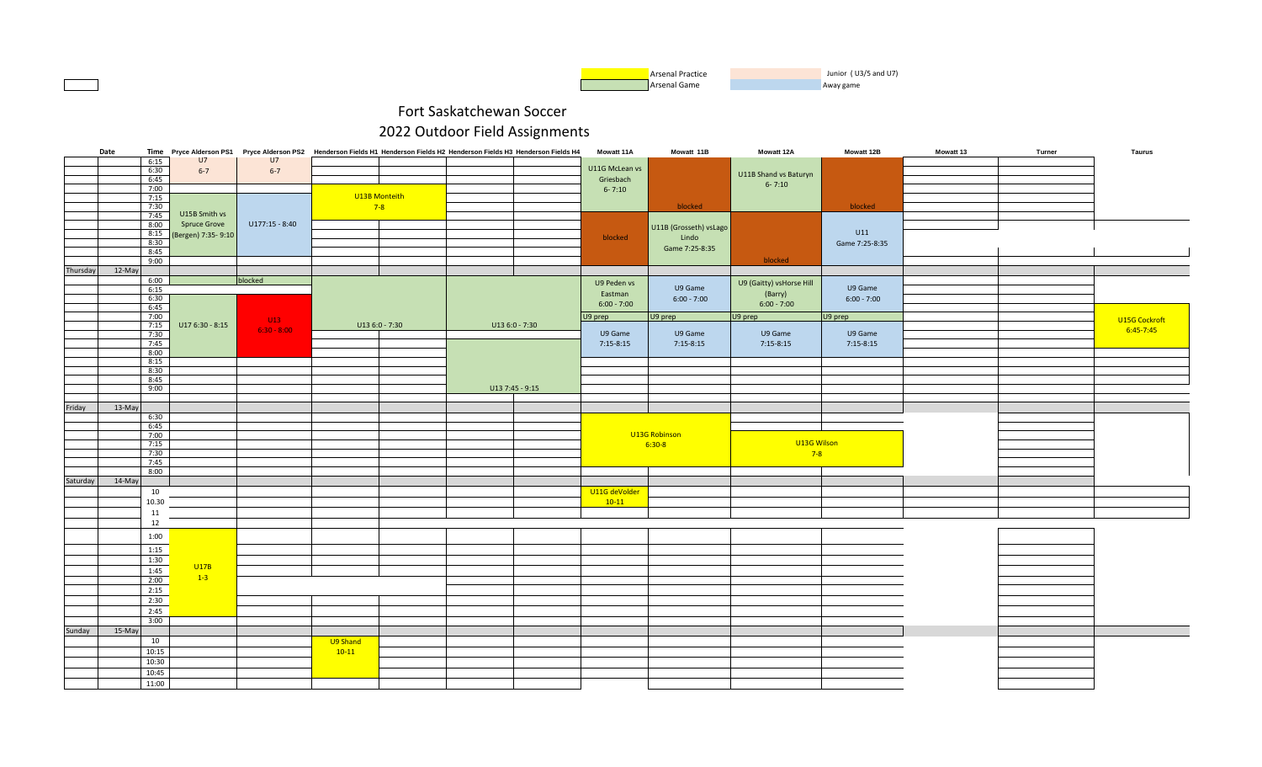

|          | Date           |                     |                  |          |                 | Time Pryce Alderson PS1 Pryce Alderson PS2 Henderson Fields H1 Henderson Fields H2 Henderson Fields H3 Henderson Fields H4 | <b>Mowatt 11A</b> | Mowatt 11B             | <b>Mowatt 12A</b>        | Mowatt 12B     | <b>Mowatt 13</b> | Turner | Taurus        |
|----------|----------------|---------------------|------------------|----------|-----------------|----------------------------------------------------------------------------------------------------------------------------|-------------------|------------------------|--------------------------|----------------|------------------|--------|---------------|
|          | 6:15           | U7                  | U7               |          |                 |                                                                                                                            | U11G McLean vs    |                        |                          |                |                  |        |               |
|          | 6:30<br>6:45   | $6 - 7$             | $6 - 7$          |          |                 |                                                                                                                            | Griesbach         |                        | U11B Shand vs Baturyn    |                |                  |        |               |
|          | 7:00           |                     |                  |          |                 |                                                                                                                            | $6 - 7:10$        |                        | $6 - 7:10$               |                |                  |        |               |
|          | 7:15           |                     |                  |          | U13B Monteith   |                                                                                                                            |                   |                        |                          |                |                  |        |               |
|          | 7:30           |                     |                  |          | $7-8$           |                                                                                                                            |                   | blocked                |                          | blocked        |                  |        |               |
|          | 7:45           | U15B Smith vs       |                  |          |                 |                                                                                                                            |                   |                        |                          |                |                  |        |               |
|          | 8:00           | <b>Spruce Grove</b> | $U177:15 - 8:40$ |          |                 |                                                                                                                            |                   | U11B (Grosseth) vsLago |                          |                |                  |        |               |
|          | 8:15           | (Bergen) 7:35-9:10  |                  |          |                 |                                                                                                                            | blocked           | Lindo                  |                          | U11            |                  |        |               |
|          | 8:30<br>8:45   |                     |                  |          |                 |                                                                                                                            |                   | Game 7:25-8:35         |                          | Game 7:25-8:35 |                  |        |               |
|          | 9:00           |                     |                  |          |                 |                                                                                                                            |                   |                        | blocked                  |                |                  |        |               |
| Thursday | 12-May         |                     |                  |          |                 |                                                                                                                            |                   |                        |                          |                |                  |        |               |
|          | 6:00           |                     | blocked          |          |                 |                                                                                                                            | U9 Peden vs       |                        | U9 (Gaitty) vsHorse Hill |                |                  |        |               |
|          | 6:15           |                     |                  |          |                 |                                                                                                                            | Eastman           | U9 Game                | (Barry)                  | U9 Game        |                  |        |               |
|          | 6:30           |                     |                  |          |                 |                                                                                                                            | $6:00 - 7:00$     | $6:00 - 7:00$          | $6:00 - 7:00$            | $6:00 - 7:00$  |                  |        |               |
|          | 6:45           |                     |                  |          |                 |                                                                                                                            |                   |                        |                          |                |                  |        |               |
|          | 7:00<br>7:15   | $U176:30 - 8:15$    | U13              |          | $U136:0 - 7:30$ | $U136:0 - 7:30$                                                                                                            | U9 prep           | U9 prep                | U9 prep                  | U9 prep        |                  |        | U15G Cockroft |
|          | 7:30           |                     | $6:30 - 8:00$    |          |                 |                                                                                                                            | U9 Game           | U9 Game                | U9 Game                  | U9 Game        |                  |        | $6:45 - 7:45$ |
|          | 7:45           |                     |                  |          |                 |                                                                                                                            | $7:15-8:15$       | $7:15-8:15$            | $7:15-8:15$              | $7:15-8:15$    |                  |        |               |
|          | 8:00           |                     |                  |          |                 |                                                                                                                            |                   |                        |                          |                |                  |        |               |
|          | 8:15           |                     |                  |          |                 |                                                                                                                            |                   |                        |                          |                |                  |        |               |
|          | 8:30           |                     |                  |          |                 |                                                                                                                            |                   |                        |                          |                |                  |        |               |
|          | 8:45           |                     |                  |          |                 | U13 7:45 - 9:15                                                                                                            |                   |                        |                          |                |                  |        |               |
|          | 9:00           |                     |                  |          |                 |                                                                                                                            |                   |                        |                          |                |                  |        |               |
| Friday   | 13-May         |                     |                  |          |                 |                                                                                                                            |                   |                        |                          |                |                  |        |               |
|          | 6:30           |                     |                  |          |                 |                                                                                                                            |                   |                        |                          |                |                  |        |               |
|          | 6:45           |                     |                  |          |                 |                                                                                                                            |                   |                        |                          |                |                  |        |               |
|          | 7:00           |                     |                  |          |                 |                                                                                                                            |                   | U13G Robinson          |                          |                |                  |        |               |
|          | 7:15           |                     |                  |          |                 |                                                                                                                            |                   | $6:30-8$               | U13G Wilson              |                |                  |        |               |
|          | 7:30           |                     |                  |          |                 |                                                                                                                            |                   |                        | $7-8$                    |                |                  |        |               |
|          | 7:45<br>8:00   |                     |                  |          |                 |                                                                                                                            |                   |                        |                          |                |                  |        |               |
| Saturday | 14-May         |                     |                  |          |                 |                                                                                                                            |                   |                        |                          |                |                  |        |               |
|          | 10             |                     |                  |          |                 |                                                                                                                            | U11G deVolder     |                        |                          |                |                  |        |               |
|          | 10.30          |                     |                  |          |                 |                                                                                                                            | $10-11$           |                        |                          |                |                  |        |               |
|          | 11             |                     |                  |          |                 |                                                                                                                            |                   |                        |                          |                |                  |        |               |
|          | 12             |                     |                  |          |                 |                                                                                                                            |                   |                        |                          |                |                  |        |               |
|          | 1:00           |                     |                  |          |                 |                                                                                                                            |                   |                        |                          |                |                  |        |               |
|          |                |                     |                  |          |                 |                                                                                                                            |                   |                        |                          |                |                  |        |               |
|          | 1:15           |                     |                  |          |                 |                                                                                                                            |                   |                        |                          |                |                  |        |               |
|          | 1:30           | U17B                |                  |          |                 |                                                                                                                            |                   |                        |                          |                |                  |        |               |
|          | 1:45           | $1-3$               |                  |          |                 |                                                                                                                            |                   |                        |                          |                |                  |        |               |
|          | 2:00           |                     |                  |          |                 |                                                                                                                            |                   |                        |                          |                |                  |        |               |
|          | 2:15           |                     |                  |          |                 |                                                                                                                            |                   |                        |                          |                |                  |        |               |
|          | 2:30           |                     |                  |          |                 |                                                                                                                            |                   |                        |                          |                |                  |        |               |
|          | 2:45           |                     |                  |          |                 |                                                                                                                            |                   |                        |                          |                |                  |        |               |
|          | 3:00           |                     |                  |          |                 |                                                                                                                            |                   |                        |                          |                |                  |        |               |
| Sunday   | 15-May<br>10   |                     |                  |          |                 |                                                                                                                            |                   |                        |                          |                |                  |        |               |
|          | 10:15          |                     |                  | U9 Shand |                 |                                                                                                                            |                   |                        |                          |                |                  |        |               |
|          |                |                     |                  | $10-11$  |                 |                                                                                                                            |                   |                        |                          |                |                  |        |               |
|          | 10:30          |                     |                  |          |                 |                                                                                                                            |                   |                        |                          |                |                  |        |               |
|          | 10:45<br>11:00 |                     |                  |          |                 |                                                                                                                            |                   |                        |                          |                |                  |        |               |
|          |                |                     |                  |          |                 |                                                                                                                            |                   |                        |                          |                |                  |        |               |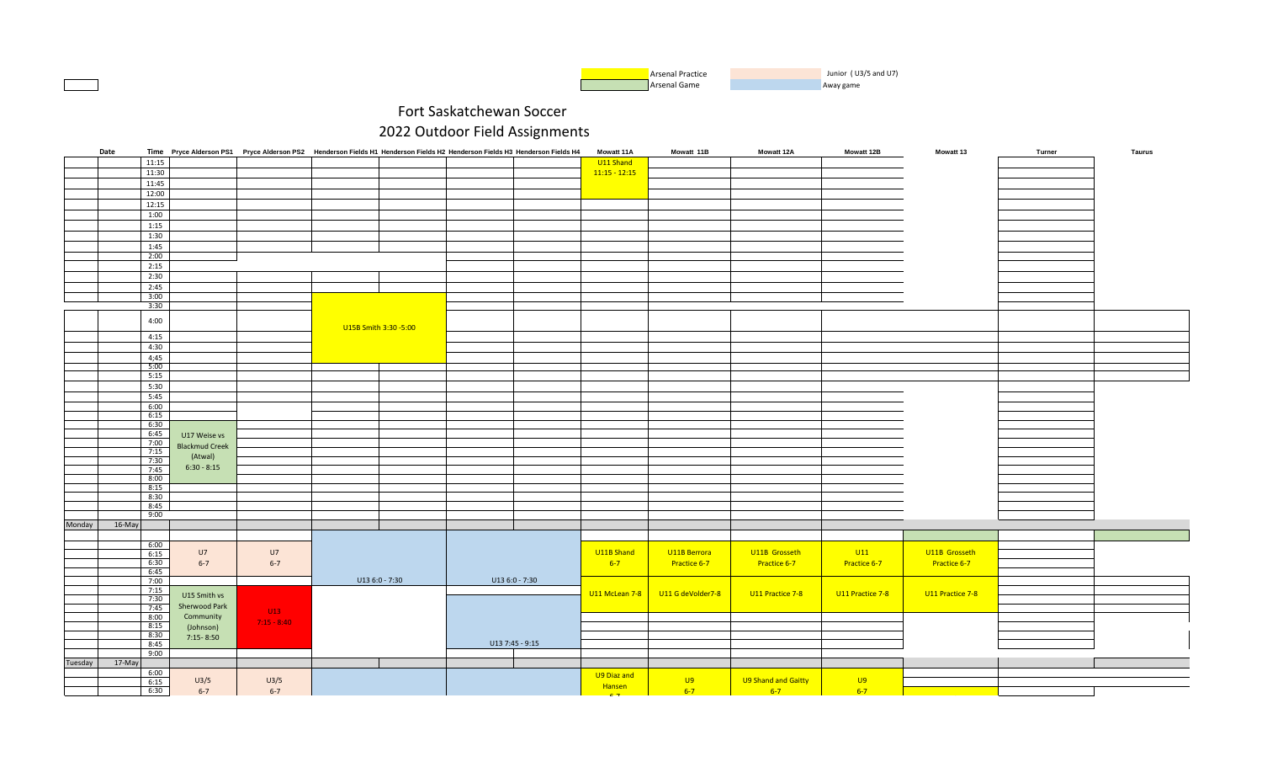| <b>Arsenal Practice</b> | Junior (U3/5 and U7) |
|-------------------------|----------------------|
| Arsenal Game            | Away game            |

|         | Date     |              |                       | Time Pryce Alderson PS1 Pryce Alderson PS2 Henderson Fields H1 Henderson Fields H2 Henderson Fields H3 Henderson Fields H4 |                       |                 |                | <b>Mowatt 11A</b> | Mowatt 11B        | <b>Mowatt 12A</b>   | <b>Mowatt 12B</b> | <b>Mowatt 13</b> | Turner | Taurus |
|---------|----------|--------------|-----------------------|----------------------------------------------------------------------------------------------------------------------------|-----------------------|-----------------|----------------|-------------------|-------------------|---------------------|-------------------|------------------|--------|--------|
|         |          | 11:15        |                       |                                                                                                                            |                       |                 |                | U11 Shand         |                   |                     |                   |                  |        |        |
|         |          | 11:30        |                       |                                                                                                                            |                       |                 |                | $11:15 - 12:15$   |                   |                     |                   |                  |        |        |
|         |          | 11:45        |                       |                                                                                                                            |                       |                 |                |                   |                   |                     |                   |                  |        |        |
|         |          | 12:00        |                       |                                                                                                                            |                       |                 |                |                   |                   |                     |                   |                  |        |        |
|         |          | 12:15        |                       |                                                                                                                            |                       |                 |                |                   |                   |                     |                   |                  |        |        |
|         |          | 1:00         |                       |                                                                                                                            |                       |                 |                |                   |                   |                     |                   |                  |        |        |
|         |          | 1:15         |                       |                                                                                                                            |                       |                 |                |                   |                   |                     |                   |                  |        |        |
|         |          |              |                       |                                                                                                                            |                       |                 |                |                   |                   |                     |                   |                  |        |        |
|         |          | 1:30         |                       |                                                                                                                            |                       |                 |                |                   |                   |                     |                   |                  |        |        |
|         |          | 1:45         |                       |                                                                                                                            |                       |                 |                |                   |                   |                     |                   |                  |        |        |
|         |          | 2:00         |                       |                                                                                                                            |                       |                 |                |                   |                   |                     |                   |                  |        |        |
|         |          | 2:15         |                       |                                                                                                                            |                       |                 |                |                   |                   |                     |                   |                  |        |        |
|         |          | 2:30         |                       |                                                                                                                            |                       |                 |                |                   |                   |                     |                   |                  |        |        |
|         |          | 2:45         |                       |                                                                                                                            |                       |                 |                |                   |                   |                     |                   |                  |        |        |
|         |          | 3:00         |                       |                                                                                                                            |                       |                 |                |                   |                   |                     |                   |                  |        |        |
|         |          | 3:30         |                       |                                                                                                                            |                       |                 |                |                   |                   |                     |                   |                  |        |        |
|         |          | 4:00         |                       |                                                                                                                            |                       |                 |                |                   |                   |                     |                   |                  |        |        |
|         |          |              |                       |                                                                                                                            | U15B Smith 3:30 -5:00 |                 |                |                   |                   |                     |                   |                  |        |        |
|         |          | 4:15         |                       |                                                                                                                            |                       |                 |                |                   |                   |                     |                   |                  |        |        |
|         |          | 4:30         |                       |                                                                                                                            |                       |                 |                |                   |                   |                     |                   |                  |        |        |
|         |          | 4;45         |                       |                                                                                                                            |                       |                 |                |                   |                   |                     |                   |                  |        |        |
|         |          | 5:00         |                       |                                                                                                                            |                       |                 |                |                   |                   |                     |                   |                  |        |        |
|         |          | 5:15         |                       |                                                                                                                            |                       |                 |                |                   |                   |                     |                   |                  |        |        |
|         |          | 5:30         |                       |                                                                                                                            |                       |                 |                |                   |                   |                     |                   |                  |        |        |
|         |          | 5:45         |                       |                                                                                                                            |                       |                 |                |                   |                   |                     |                   |                  |        |        |
|         |          | 6:00         |                       |                                                                                                                            |                       |                 |                |                   |                   |                     |                   |                  |        |        |
|         |          | 6:15         |                       |                                                                                                                            |                       |                 |                |                   |                   |                     |                   |                  |        |        |
|         |          | 6:30         |                       |                                                                                                                            |                       |                 |                |                   |                   |                     |                   |                  |        |        |
|         |          | 6:45         | U17 Weise vs          |                                                                                                                            |                       |                 |                |                   |                   |                     |                   |                  |        |        |
|         |          | 7:00         |                       |                                                                                                                            |                       |                 |                |                   |                   |                     |                   |                  |        |        |
|         |          | 7:15         | <b>Blackmud Creek</b> |                                                                                                                            |                       |                 |                |                   |                   |                     |                   |                  |        |        |
|         |          | 7:30         | (Atwal)               |                                                                                                                            |                       |                 |                |                   |                   |                     |                   |                  |        |        |
|         |          | 7:45         | $6:30 - 8:15$         |                                                                                                                            |                       |                 |                |                   |                   |                     |                   |                  |        |        |
|         |          | 8:00         |                       |                                                                                                                            |                       |                 |                |                   |                   |                     |                   |                  |        |        |
|         |          | 8:15         |                       |                                                                                                                            |                       |                 |                |                   |                   |                     |                   |                  |        |        |
|         |          | 8:30         |                       |                                                                                                                            |                       |                 |                |                   |                   |                     |                   |                  |        |        |
|         |          | 8:45         |                       |                                                                                                                            |                       |                 |                |                   |                   |                     |                   |                  |        |        |
|         |          | 9:00         |                       |                                                                                                                            |                       |                 |                |                   |                   |                     |                   |                  |        |        |
| Monday  | $16-May$ |              |                       |                                                                                                                            |                       |                 |                |                   |                   |                     |                   |                  |        |        |
|         |          |              |                       |                                                                                                                            |                       |                 |                |                   |                   |                     |                   |                  |        |        |
|         |          | 6:00         |                       |                                                                                                                            |                       |                 |                |                   |                   |                     |                   |                  |        |        |
|         |          | 6:15         | U7                    | U7                                                                                                                         |                       |                 |                | U11B Shand        | U11B Berrora      | U11B Grosseth       | U11               | U11B Grosseth    |        |        |
|         |          | 6:30<br>6:45 | $6 - 7$               | $6 - 7$                                                                                                                    |                       |                 |                | $6 - 7$           | Practice 6-7      | Practice 6-7        | Practice 6-7      | Practice 6-7     |        |        |
|         |          |              |                       |                                                                                                                            | U13 6:0 - 7:30        |                 | U13 6:0 - 7:30 |                   |                   |                     |                   |                  |        |        |
|         |          | 7:00<br>7:15 |                       |                                                                                                                            |                       |                 |                |                   |                   |                     |                   |                  |        |        |
|         |          | 7:30         | U15 Smith vs          |                                                                                                                            |                       |                 |                | U11 McLean 7-8    | U11 G deVolder7-8 | U11 Practice 7-8    | U11 Practice 7-8  | U11 Practice 7-8 |        |        |
|         |          | 7:45         | Sherwood Park         |                                                                                                                            |                       |                 |                |                   |                   |                     |                   |                  |        |        |
|         |          | 8:00         | Community             | U13                                                                                                                        |                       |                 |                |                   |                   |                     |                   |                  |        |        |
|         |          | 8:15         | (Johnson)             | $7:15 - 8:40$                                                                                                              |                       |                 |                |                   |                   |                     |                   |                  |        |        |
|         |          | 8:30         | $7:15 - 8:50$         |                                                                                                                            |                       |                 |                |                   |                   |                     |                   |                  |        |        |
|         |          | 8:45         |                       |                                                                                                                            |                       | U13 7:45 - 9:15 |                |                   |                   |                     |                   |                  |        |        |
|         |          | 9:00         |                       |                                                                                                                            |                       |                 |                |                   |                   |                     |                   |                  |        |        |
| Tuesday | $17-May$ |              |                       |                                                                                                                            |                       |                 |                |                   |                   |                     |                   |                  |        |        |
|         |          | 6:00         |                       |                                                                                                                            |                       |                 |                | U9 Diaz and       |                   |                     |                   |                  |        |        |
|         |          | 6:15         | U3/5                  | U3/5                                                                                                                       |                       |                 |                | Hansen            | U9                | U9 Shand and Gaitty | U9                |                  |        |        |
|         |          | 6:30         | $6 - 7$               | $6 - 7$                                                                                                                    |                       |                 |                | $c -$             | $6 - 7$           | $6 - 7$             | $6 - 7$           |                  |        |        |
|         |          |              |                       |                                                                                                                            |                       |                 |                |                   |                   |                     |                   |                  |        |        |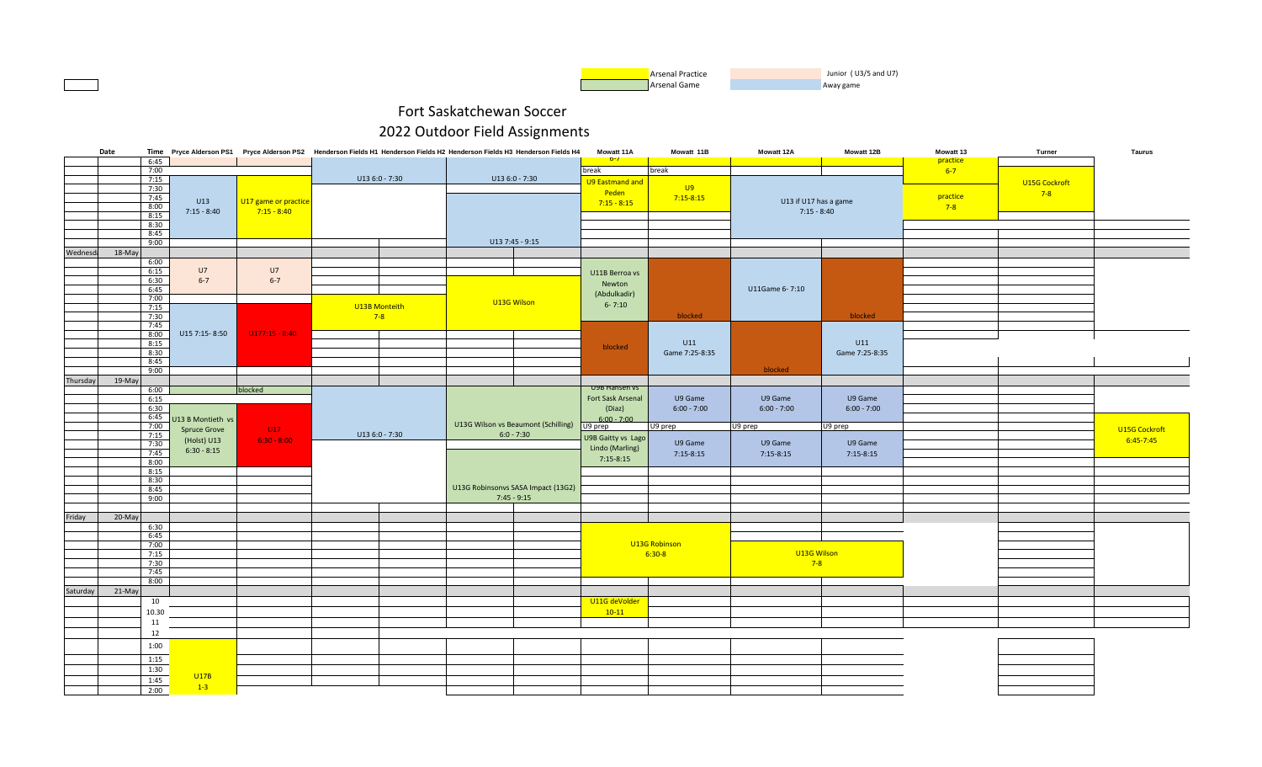

|          | Date |                |                     |                      |                 | Time Pryce Alderson PS1 Pryce Alderson PS2 Henderson Fields H1 Henderson Fields H2 Henderson Fields H3 Henderson Fields H4 | <b>Mowatt 11A</b>                  | Mowatt 11B     | Mowatt 12A            | Mowatt 12B     | Mowatt 13 | Turner        | <b>Taurus</b> |
|----------|------|----------------|---------------------|----------------------|-----------------|----------------------------------------------------------------------------------------------------------------------------|------------------------------------|----------------|-----------------------|----------------|-----------|---------------|---------------|
|          |      | 6:45           |                     |                      |                 |                                                                                                                            | $b - I$                            |                |                       |                | practice  |               |               |
|          |      | 7:00<br>7:15   |                     |                      | $U136:0 - 7:30$ | U13 6:0 - 7:30                                                                                                             | break                              | break          |                       |                | $6 - 7$   |               |               |
|          |      | 7:30           |                     |                      |                 |                                                                                                                            | <b>U9 Eastmand and</b>             | U9             |                       |                |           | U15G Cockroft |               |
|          |      | 7:45           |                     |                      |                 |                                                                                                                            | Peden                              | $7:15-8:15$    |                       |                | practice  | $7-8$         |               |
|          |      | 8:00           | U13                 | U17 game or practice |                 |                                                                                                                            | $7:15 - 8:15$                      |                | U13 if U17 has a game |                | $7-8$     |               |               |
|          |      | 8:15           | $7:15 - 8:40$       | $7:15 - 8:40$        |                 |                                                                                                                            |                                    |                | $7:15 - 8:40$         |                |           |               |               |
|          |      | 8:30           |                     |                      |                 |                                                                                                                            |                                    |                |                       |                |           |               |               |
|          |      | 8:45           |                     |                      |                 |                                                                                                                            |                                    |                |                       |                |           |               |               |
|          |      | 9:00           |                     |                      |                 | U13 7:45 - 9:15                                                                                                            |                                    |                |                       |                |           |               |               |
| Wednesda |      | 18-May<br>6:00 |                     |                      |                 |                                                                                                                            |                                    |                |                       |                |           |               |               |
|          |      | 6:15           | U7                  | U7                   |                 |                                                                                                                            |                                    |                |                       |                |           |               |               |
|          |      | 6:30           | $6 - 7$             | $6 - 7$              |                 |                                                                                                                            | U11B Berroa vs                     |                |                       |                |           |               |               |
|          |      | 6:45           |                     |                      |                 |                                                                                                                            | Newton                             |                | U11Game 6-7:10        |                |           |               |               |
|          |      | 7:00           |                     |                      |                 | U13G Wilson                                                                                                                | (Abdulkadir)                       |                |                       |                |           |               |               |
|          |      | 7:15           |                     |                      | U13B Monteith   |                                                                                                                            | $6 - 7:10$                         |                |                       |                |           |               |               |
|          |      | 7:30           |                     |                      | $7-8$           |                                                                                                                            |                                    | blocked        |                       | blocked        |           |               |               |
|          |      | 7:45<br>8:00   | U15 7:15-8:50       | $U177:15 - 8:40$     |                 |                                                                                                                            |                                    |                |                       |                |           |               |               |
|          |      | 8:15           |                     |                      |                 |                                                                                                                            |                                    | U11            |                       | U11            |           |               |               |
|          |      | 8:30           |                     |                      |                 |                                                                                                                            | blocked                            | Game 7:25-8:35 |                       | Game 7:25-8:35 |           |               |               |
|          |      | 8:45           |                     |                      |                 |                                                                                                                            |                                    |                |                       |                |           |               |               |
|          |      | 9:00           |                     |                      |                 |                                                                                                                            |                                    |                | blocked               |                |           |               |               |
| Thursday |      | 19-May         |                     |                      |                 |                                                                                                                            |                                    |                |                       |                |           |               |               |
|          |      | 6:00           |                     | blocked              |                 |                                                                                                                            | U9B Hansen vs<br>Fort Sask Arsenal | U9 Game        | U9 Game               | U9 Game        |           |               |               |
|          |      | 6:15<br>6:30   |                     |                      |                 |                                                                                                                            | (Diaz)                             | $6:00 - 7:00$  | $6:00 - 7:00$         | $6:00 - 7:00$  |           |               |               |
|          |      | 6:45           | U13 B Montieth vs   |                      |                 |                                                                                                                            | $6:00 - 7:00$                      |                |                       |                |           |               |               |
|          |      | 7:00           | <b>Spruce Grove</b> | U17                  |                 | U13G Wilson vs Beaumont (Schilling)                                                                                        | U9 prep                            | U9 prep        | U9 prep               | U9 prep        |           |               | U15G Cockroft |
|          |      | 7:15           | (Holst) U13         | $6:30 - 8:00$        | U13 6:0 - 7:30  | $6:0 - 7:30$                                                                                                               | U9B Gaitty vs Lago                 |                |                       |                |           |               | $6:45 - 7:45$ |
|          |      | 7:30           | $6:30 - 8:15$       |                      |                 |                                                                                                                            | Lindo (Marling)                    | U9 Game        | U9 Game               | U9 Game        |           |               |               |
|          |      | 7:45           |                     |                      |                 |                                                                                                                            | $7:15-8:15$                        | $7:15-8:15$    | $7:15-8:15$           | $7:15-8:15$    |           |               |               |
|          |      | 8:00<br>8:15   |                     |                      |                 |                                                                                                                            |                                    |                |                       |                |           |               |               |
|          |      | 8:30           |                     |                      |                 |                                                                                                                            |                                    |                |                       |                |           |               |               |
|          |      | 8:45           |                     |                      |                 | U13G Robinsonvs SASA Impact (13G2)                                                                                         |                                    |                |                       |                |           |               |               |
|          |      | 9:00           |                     |                      |                 | $7:45 - 9:15$                                                                                                              |                                    |                |                       |                |           |               |               |
|          |      |                |                     |                      |                 |                                                                                                                            |                                    |                |                       |                |           |               |               |
| Friday   |      | 20-May         |                     |                      |                 |                                                                                                                            |                                    |                |                       |                |           |               |               |
|          |      | 6:30<br>6:45   |                     |                      |                 |                                                                                                                            |                                    |                |                       |                |           |               |               |
|          |      | 7:00           |                     |                      |                 |                                                                                                                            |                                    | U13G Robinson  |                       |                |           |               |               |
|          |      | 7:15           |                     |                      |                 |                                                                                                                            |                                    | $6:30-8$       | U13G Wilson           |                |           |               |               |
|          |      | 7:30           |                     |                      |                 |                                                                                                                            |                                    |                | $7 - 8$               |                |           |               |               |
|          |      | 7:45           |                     |                      |                 |                                                                                                                            |                                    |                |                       |                |           |               |               |
|          |      | 8:00           |                     |                      |                 |                                                                                                                            |                                    |                |                       |                |           |               |               |
| Saturday |      | 21-May         |                     |                      |                 |                                                                                                                            |                                    |                |                       |                |           |               |               |
|          |      | 10             |                     |                      |                 |                                                                                                                            | U11G deVolder                      |                |                       |                |           |               |               |
|          |      | 10.30          |                     |                      |                 |                                                                                                                            | $10-11$                            |                |                       |                |           |               |               |
|          |      | 11             |                     |                      |                 |                                                                                                                            |                                    |                |                       |                |           |               |               |
|          |      | 12             |                     |                      |                 |                                                                                                                            |                                    |                |                       |                |           |               |               |
|          |      | 1:00           |                     |                      |                 |                                                                                                                            |                                    |                |                       |                |           |               |               |
|          |      | 1:15           |                     |                      |                 |                                                                                                                            |                                    |                |                       |                |           |               |               |
|          |      | 1:30           |                     |                      |                 |                                                                                                                            |                                    |                |                       |                |           |               |               |
|          |      | 1:45           | U17B                |                      |                 |                                                                                                                            |                                    |                |                       |                |           |               |               |
|          |      | 2:00           | $1-3$               |                      |                 |                                                                                                                            |                                    |                |                       |                |           |               |               |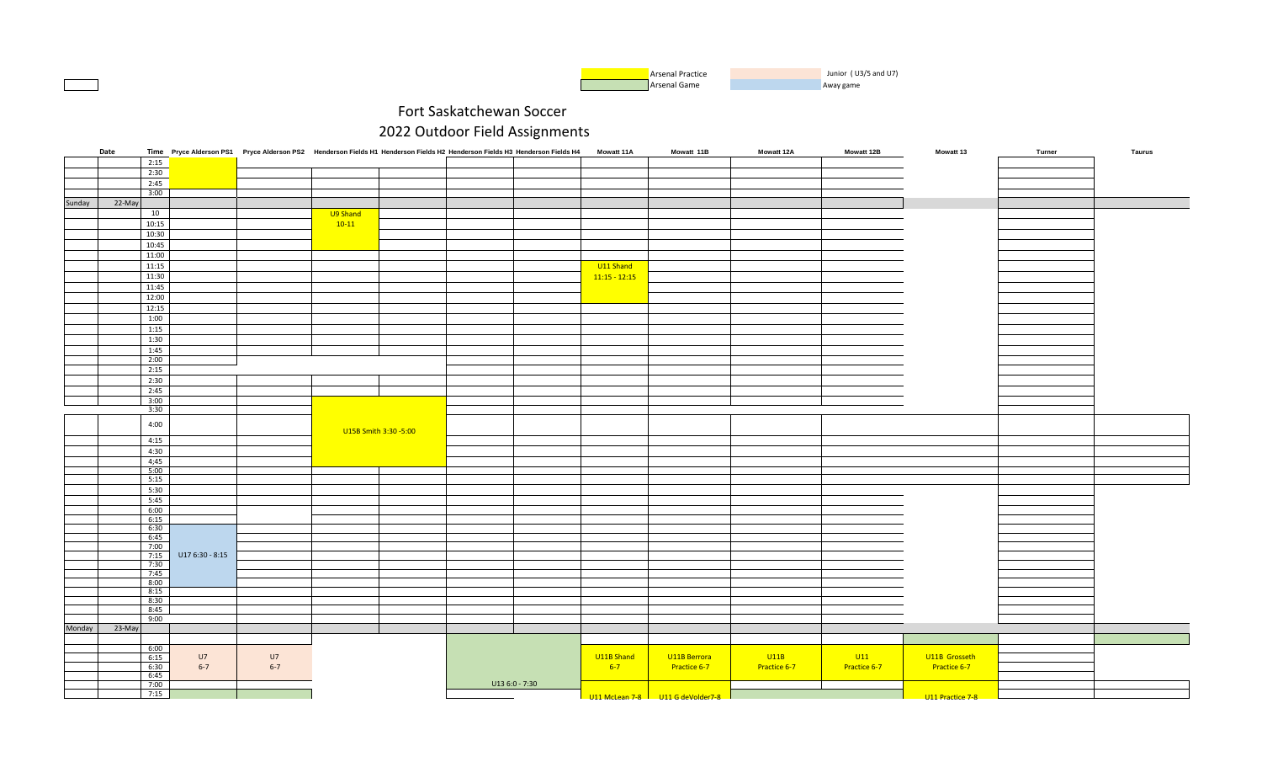

|        | Date   |              |                 | Time Pryce Alderson PS1 Pryce Alderson PS2 Henderson Fields H1 Henderson Fields H2 Henderson Fields H3 Henderson Fields H4 Mowatt 11A |                       |                 |                 | Mowatt 11B                          | Mowatt 12A   | Mowatt 12B   | Mowatt 13         | Turner | <b>Taurus</b> |
|--------|--------|--------------|-----------------|---------------------------------------------------------------------------------------------------------------------------------------|-----------------------|-----------------|-----------------|-------------------------------------|--------------|--------------|-------------------|--------|---------------|
|        |        | 2:15         |                 |                                                                                                                                       |                       |                 |                 |                                     |              |              |                   |        |               |
|        |        | 2:30         |                 |                                                                                                                                       |                       |                 |                 |                                     |              |              |                   |        |               |
|        |        | 2:45         |                 |                                                                                                                                       |                       |                 |                 |                                     |              |              |                   |        |               |
|        |        | 3:00         |                 |                                                                                                                                       |                       |                 |                 |                                     |              |              |                   |        |               |
| Sunday | 22-May |              |                 |                                                                                                                                       |                       |                 |                 |                                     |              |              |                   |        |               |
|        |        | 10           |                 |                                                                                                                                       | U9 Shand              |                 |                 |                                     |              |              |                   |        |               |
|        |        | 10:15        |                 |                                                                                                                                       | $10-11$               |                 |                 |                                     |              |              |                   |        |               |
|        |        | 10:30        |                 |                                                                                                                                       |                       |                 |                 |                                     |              |              |                   |        |               |
|        |        | 10:45        |                 |                                                                                                                                       |                       |                 |                 |                                     |              |              |                   |        |               |
|        |        | 11:00        |                 |                                                                                                                                       |                       |                 |                 |                                     |              |              |                   |        |               |
|        |        | 11:15        |                 |                                                                                                                                       |                       |                 | U11 Shand       |                                     |              |              |                   |        |               |
|        |        | 11:30        |                 |                                                                                                                                       |                       |                 | $11:15 - 12:15$ |                                     |              |              |                   |        |               |
|        |        | 11:45        |                 |                                                                                                                                       |                       |                 |                 |                                     |              |              |                   |        |               |
|        |        | 12:00        |                 |                                                                                                                                       |                       |                 |                 |                                     |              |              |                   |        |               |
|        |        | 12:15        |                 |                                                                                                                                       |                       |                 |                 |                                     |              |              |                   |        |               |
|        |        | 1:00         |                 |                                                                                                                                       |                       |                 |                 |                                     |              |              |                   |        |               |
|        |        | 1:15         |                 |                                                                                                                                       |                       |                 |                 |                                     |              |              |                   |        |               |
|        |        | 1:30         |                 |                                                                                                                                       |                       |                 |                 |                                     |              |              |                   |        |               |
|        |        | 1:45<br>2:00 |                 |                                                                                                                                       |                       |                 |                 |                                     |              |              |                   |        |               |
|        |        | 2:15         |                 |                                                                                                                                       |                       |                 |                 |                                     |              |              |                   |        |               |
|        |        | 2:30         |                 |                                                                                                                                       |                       |                 |                 |                                     |              |              |                   |        |               |
|        |        | 2:45         |                 |                                                                                                                                       |                       |                 |                 |                                     |              |              |                   |        |               |
|        |        | 3:00         |                 |                                                                                                                                       |                       |                 |                 |                                     |              |              |                   |        |               |
|        |        | 3:30         |                 |                                                                                                                                       |                       |                 |                 |                                     |              |              |                   |        |               |
|        |        | 4:00         |                 |                                                                                                                                       |                       |                 |                 |                                     |              |              |                   |        |               |
|        |        |              |                 |                                                                                                                                       | U15B Smith 3:30 -5:00 |                 |                 |                                     |              |              |                   |        |               |
|        |        | 4:15         |                 |                                                                                                                                       |                       |                 |                 |                                     |              |              |                   |        |               |
|        |        | 4:30         |                 |                                                                                                                                       |                       |                 |                 |                                     |              |              |                   |        |               |
|        |        | 4;45         |                 |                                                                                                                                       |                       |                 |                 |                                     |              |              |                   |        |               |
|        |        | 5:00         |                 |                                                                                                                                       |                       |                 |                 |                                     |              |              |                   |        |               |
|        |        | 5:15         |                 |                                                                                                                                       |                       |                 |                 |                                     |              |              |                   |        |               |
|        |        | 5:30         |                 |                                                                                                                                       |                       |                 |                 |                                     |              |              |                   |        |               |
|        |        | 5:45<br>6:00 |                 |                                                                                                                                       |                       |                 |                 |                                     |              |              |                   |        |               |
|        |        | 6:15         |                 |                                                                                                                                       |                       |                 |                 |                                     |              |              |                   |        |               |
|        |        | 6:30         |                 |                                                                                                                                       |                       |                 |                 |                                     |              |              |                   |        |               |
|        |        | 6:45         |                 |                                                                                                                                       |                       |                 |                 |                                     |              |              |                   |        |               |
|        |        | 7:00         |                 |                                                                                                                                       |                       |                 |                 |                                     |              |              |                   |        |               |
|        |        | 7:15<br>7:30 | U17 6:30 - 8:15 |                                                                                                                                       |                       |                 |                 |                                     |              |              |                   |        |               |
|        |        | 7:45         |                 |                                                                                                                                       |                       |                 |                 |                                     |              |              |                   |        |               |
|        |        | 8:00         |                 |                                                                                                                                       |                       |                 |                 |                                     |              |              |                   |        |               |
|        |        | 8:15         |                 |                                                                                                                                       |                       |                 |                 |                                     |              |              |                   |        |               |
|        |        | 8:30         |                 |                                                                                                                                       |                       |                 |                 |                                     |              |              |                   |        |               |
|        |        | 8:45<br>9:00 |                 |                                                                                                                                       |                       |                 |                 |                                     |              |              |                   |        |               |
| Monday | 23-May |              |                 |                                                                                                                                       |                       |                 |                 |                                     |              |              |                   |        |               |
|        |        |              |                 |                                                                                                                                       |                       |                 |                 |                                     |              |              |                   |        |               |
|        |        | 6:00         |                 |                                                                                                                                       |                       |                 |                 |                                     |              |              |                   |        |               |
|        |        | 6:15         | U7              | U7                                                                                                                                    |                       |                 | U11B Shand      | U11B Berrora                        | U11B         | U11          | U11B Grosseth     |        |               |
|        |        | 6:30         | $6 - 7$         | $6 - 7$                                                                                                                               |                       |                 | $6-7$           | Practice 6-7                        | Practice 6-7 | Practice 6-7 | Practice 6-7      |        |               |
|        |        | 6:45         |                 |                                                                                                                                       |                       |                 |                 |                                     |              |              |                   |        |               |
|        |        | 7:00<br>7:15 |                 |                                                                                                                                       |                       | $U136:0 - 7:30$ |                 |                                     |              |              |                   |        |               |
|        |        |              |                 |                                                                                                                                       |                       |                 |                 | 1111 McLean 7-8 1111 G deVolder 7-8 |              |              | 1111 Practice 7-8 |        |               |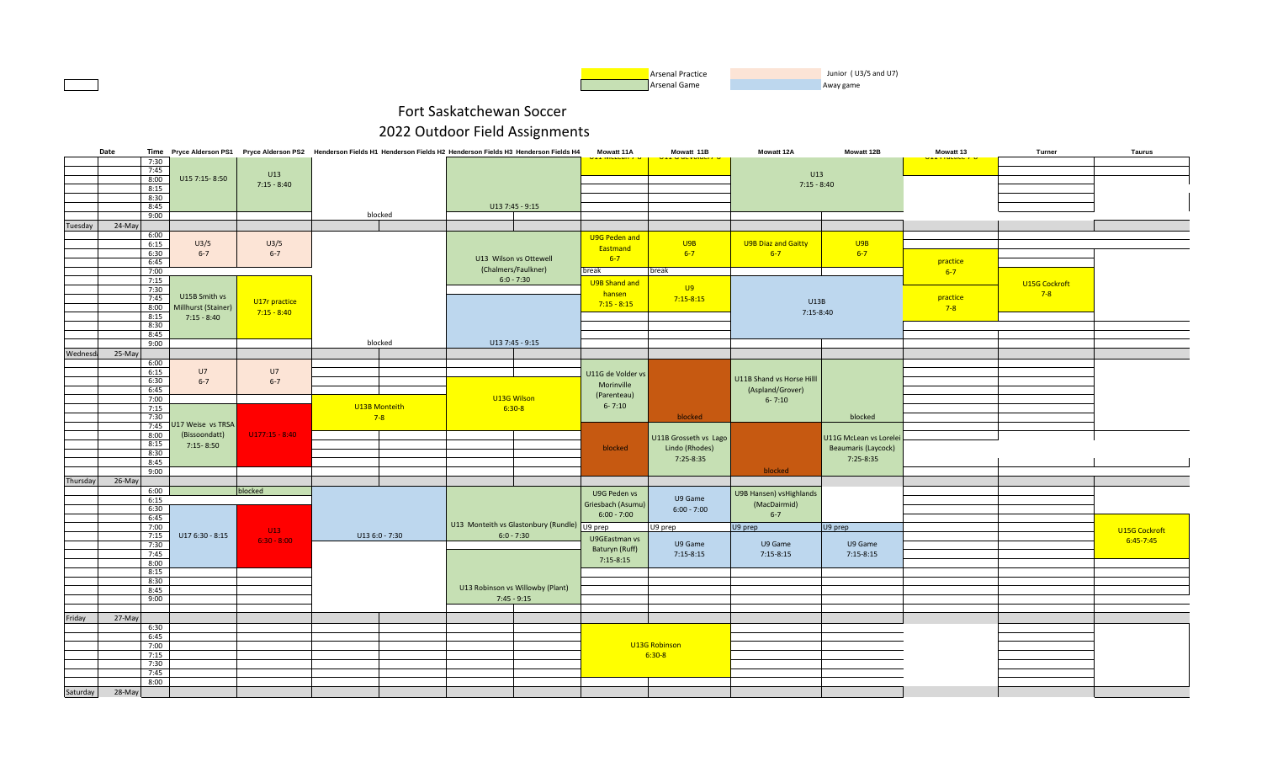

|          | Date         |                     |                  | Time Pryce Alderson PS1 Pryce Alderson PS2 Henderson Fields H1 Henderson Fields H2 Henderson Fields H3 Henderson Fields H4 |                                              | Mowatt 11A        | Mowatt 11B                | Mowatt 12A                | Mowatt 12B            | Mowatt 13        | Turner               | Taurus        |
|----------|--------------|---------------------|------------------|----------------------------------------------------------------------------------------------------------------------------|----------------------------------------------|-------------------|---------------------------|---------------------------|-----------------------|------------------|----------------------|---------------|
|          | 7:30         |                     |                  |                                                                                                                            |                                              |                   | <u>LL U UCVUIUCI / "U</u> |                           |                       | ULL FRONTING 7-0 |                      |               |
|          | 7:45         |                     | U13              |                                                                                                                            |                                              |                   |                           | U13                       |                       |                  |                      |               |
|          | 8:00         | U15 7:15-8:50       | $7:15 - 8:40$    |                                                                                                                            |                                              |                   |                           | $7:15 - 8:40$             |                       |                  |                      |               |
|          | 8:15<br>8:30 |                     |                  |                                                                                                                            |                                              |                   |                           |                           |                       |                  |                      |               |
|          | 8:45         |                     |                  |                                                                                                                            | $U137:45 - 9:15$                             |                   |                           |                           |                       |                  |                      |               |
|          | 9:00         |                     |                  | blocked                                                                                                                    |                                              |                   |                           |                           |                       |                  |                      |               |
| Tuesday  | 24-May       |                     |                  |                                                                                                                            |                                              |                   |                           |                           |                       |                  |                      |               |
|          | 6:00         |                     |                  |                                                                                                                            |                                              | U9G Peden and     |                           |                           |                       |                  |                      |               |
|          | 6:15         | U3/5                | U3/5             |                                                                                                                            |                                              |                   | U9B                       | U9B Diaz and Gaitty       | U9B                   |                  |                      |               |
|          | 6:30         | $6 - 7$             | $6 - 7$          |                                                                                                                            |                                              | Eastmand          | $6 - 7$                   | $6 - 7$                   | $6 - 7$               |                  |                      |               |
|          | 6:45         |                     |                  |                                                                                                                            | U13 Wilson vs Ottewell                       | $6 - 7$           |                           |                           |                       | practice         |                      |               |
|          | 7:00         |                     |                  |                                                                                                                            | (Chalmers/Faulkner)                          | break             | break                     |                           |                       | $6 - 7$          |                      |               |
|          | 7:15         |                     |                  |                                                                                                                            | $6:0 - 7:30$                                 | U9B Shand and     |                           |                           |                       |                  | <b>U15G Cockroft</b> |               |
|          | 7:30         | U15B Smith vs       |                  |                                                                                                                            |                                              | hansen            | <b>U9</b>                 |                           |                       |                  | $7-8$                |               |
|          | 7:45         |                     | U17r practice    |                                                                                                                            |                                              | $7:15 - 8:15$     | $7:15 - 8:15$             | U13B                      |                       | practice         |                      |               |
|          | 8:00<br>8:15 | Millhurst (Stainer) | $7:15 - 8:40$    |                                                                                                                            |                                              |                   |                           | 7:15-8:40                 |                       | $7-8$            |                      |               |
|          | 8:30         | $7:15 - 8:40$       |                  |                                                                                                                            |                                              |                   |                           |                           |                       |                  |                      |               |
|          | 8:45         |                     |                  |                                                                                                                            |                                              |                   |                           |                           |                       |                  |                      |               |
|          | 9:00         |                     |                  | blocked                                                                                                                    | U13 7:45 - 9:15                              |                   |                           |                           |                       |                  |                      |               |
| Wednesd  | 25-May       |                     |                  |                                                                                                                            |                                              |                   |                           |                           |                       |                  |                      |               |
|          | 6:00         |                     |                  |                                                                                                                            |                                              |                   |                           |                           |                       |                  |                      |               |
|          | 6:15         | U7                  | U7               |                                                                                                                            |                                              | U11G de Volder vs |                           |                           |                       |                  |                      |               |
|          | 6:30         | $6 - 7$             | $6 - 7$          |                                                                                                                            |                                              | Morinville        |                           | U11B Shand vs Horse Hilll |                       |                  |                      |               |
|          | 6:45         |                     |                  |                                                                                                                            |                                              | (Parenteau)       |                           | (Aspland/Grover)          |                       |                  |                      |               |
|          | 7:00         |                     |                  |                                                                                                                            | U13G Wilson                                  | $6 - 7:10$        |                           | $6 - 7:10$                |                       |                  |                      |               |
|          | 7:15         |                     |                  | U13B Monteith                                                                                                              | $6:30-8$                                     |                   | blocked                   |                           |                       |                  |                      |               |
|          | 7:30<br>7:45 | U17 Weise vs TRSA   |                  | $7 - 8$                                                                                                                    |                                              |                   |                           |                           | blocked               |                  |                      |               |
|          | 8:00         | (Bissoondatt)       | $U177:15 - 8:40$ |                                                                                                                            |                                              |                   |                           |                           |                       |                  |                      |               |
|          | 8:15         | $7:15 - 8:50$       |                  |                                                                                                                            |                                              |                   | U11B Grosseth vs Lago     |                           | U11G McLean vs Lorele |                  |                      |               |
|          | 8:30         |                     |                  |                                                                                                                            |                                              | blocked           | Lindo (Rhodes)            |                           | Beaumaris (Laycock)   |                  |                      |               |
|          | 8:45         |                     |                  |                                                                                                                            |                                              |                   | 7:25-8:35                 |                           | 7:25-8:35             |                  |                      |               |
|          | 9:00         |                     |                  |                                                                                                                            |                                              |                   |                           | blocked                   |                       |                  |                      |               |
| Thursday | 26-May       |                     |                  |                                                                                                                            |                                              |                   |                           |                           |                       |                  |                      |               |
|          | 6:00         |                     | blocked          |                                                                                                                            |                                              | U9G Peden vs      |                           | U9B Hansen) vsHighlands   |                       |                  |                      |               |
|          | 6:15         |                     |                  |                                                                                                                            |                                              | Griesbach (Asumu) | U9 Game                   | (MacDairmid)              |                       |                  |                      |               |
|          | 6:30         |                     |                  |                                                                                                                            |                                              | $6:00 - 7:00$     | $6:00 - 7:00$             | $6 - 7$                   |                       |                  |                      |               |
|          | 6:45<br>7:00 |                     |                  |                                                                                                                            | U13 Monteith vs Glastonbury (Rundle) U9 prep |                   | U9 prep                   | U9 prep                   | U9 prep               |                  |                      |               |
|          | 7:15         | $U176:30 - 8:15$    | U13              | $U136:0 - 7:30$                                                                                                            | $6:0 - 7:30$                                 |                   |                           |                           |                       |                  |                      | U15G Cockroft |
|          | 7:30         |                     | $6:30 - 8:00$    |                                                                                                                            |                                              | U9GEastman vs     | U9 Game                   | U9 Game                   | U9 Game               |                  |                      | $6:45 - 7:45$ |
|          | 7:45         |                     |                  |                                                                                                                            |                                              | Baturyn (Ruff)    | $7:15-8:15$               | $7:15-8:15$               | $7:15-8:15$           |                  |                      |               |
|          | 8:00         |                     |                  |                                                                                                                            |                                              | $7:15-8:15$       |                           |                           |                       |                  |                      |               |
|          | 8:15         |                     |                  |                                                                                                                            |                                              |                   |                           |                           |                       |                  |                      |               |
|          | 8:30         |                     |                  |                                                                                                                            | U13 Robinson vs Willowby (Plant)             |                   |                           |                           |                       |                  |                      |               |
|          | 8:45<br>9:00 |                     |                  |                                                                                                                            | $7:45 - 9:15$                                |                   |                           |                           |                       |                  |                      |               |
|          |              |                     |                  |                                                                                                                            |                                              |                   |                           |                           |                       |                  |                      |               |
| Friday   | 27-May       |                     |                  |                                                                                                                            |                                              |                   |                           |                           |                       |                  |                      |               |
|          | 6:30         |                     |                  |                                                                                                                            |                                              |                   |                           |                           |                       |                  |                      |               |
|          | 6:45         |                     |                  |                                                                                                                            |                                              |                   |                           |                           |                       |                  |                      |               |
|          | 7:00         |                     |                  |                                                                                                                            |                                              |                   | U13G Robinson             |                           |                       |                  |                      |               |
|          | 7:15         |                     |                  |                                                                                                                            |                                              |                   | $6:30-8$                  |                           |                       |                  |                      |               |
|          | 7:30         |                     |                  |                                                                                                                            |                                              |                   |                           |                           |                       |                  |                      |               |
|          | 7:45         |                     |                  |                                                                                                                            |                                              |                   |                           |                           |                       |                  |                      |               |
|          | 8:00         |                     |                  |                                                                                                                            |                                              |                   |                           |                           |                       |                  |                      |               |
| Saturday | 28-May       |                     |                  |                                                                                                                            |                                              |                   |                           |                           |                       |                  |                      |               |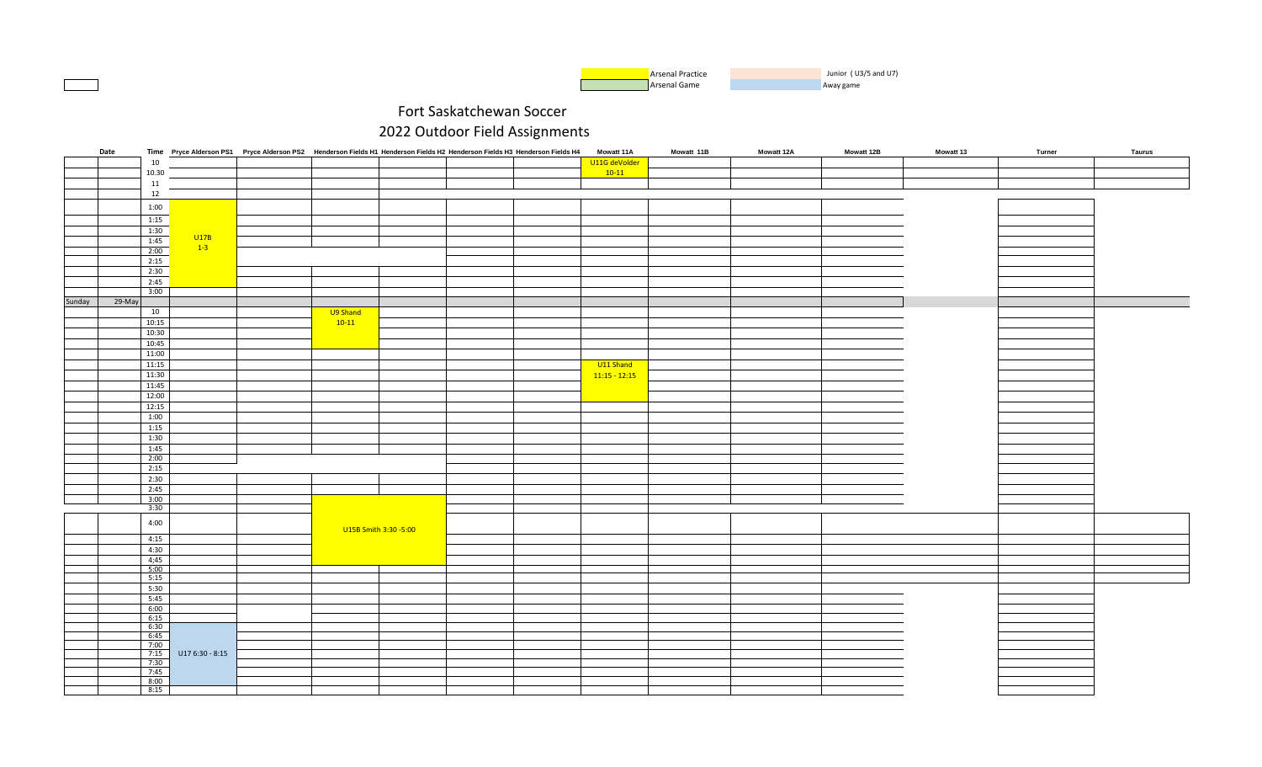

|        | Date     |        |                 | Time Pryce Alderson PS1 Pryce Alderson PS2 Henderson Fields H1 Henderson Fields H2 Henderson Fields H3 Henderson Fields H4 |          |                       |  | <b>Mowatt 11A</b> | Mowatt 11B | <b>Mowatt 12A</b> | <b>Mowatt 12B</b> | <b>Mowatt 13</b> | Turner | Taurus |
|--------|----------|--------|-----------------|----------------------------------------------------------------------------------------------------------------------------|----------|-----------------------|--|-------------------|------------|-------------------|-------------------|------------------|--------|--------|
|        |          | $10\,$ |                 |                                                                                                                            |          |                       |  | U11G deVolder     |            |                   |                   |                  |        |        |
|        |          | 10.30  |                 |                                                                                                                            |          |                       |  | $10-11$           |            |                   |                   |                  |        |        |
|        |          | $11\,$ |                 |                                                                                                                            |          |                       |  |                   |            |                   |                   |                  |        |        |
|        |          |        |                 |                                                                                                                            |          |                       |  |                   |            |                   |                   |                  |        |        |
|        |          | 12     |                 |                                                                                                                            |          |                       |  |                   |            |                   |                   |                  |        |        |
|        |          | 1:00   |                 |                                                                                                                            |          |                       |  |                   |            |                   |                   |                  |        |        |
|        |          |        |                 |                                                                                                                            |          |                       |  |                   |            |                   |                   |                  |        |        |
|        |          | 1:15   |                 |                                                                                                                            |          |                       |  |                   |            |                   |                   |                  |        |        |
|        |          | 1:30   |                 |                                                                                                                            |          |                       |  |                   |            |                   |                   |                  |        |        |
|        |          | 1:45   | U17B            |                                                                                                                            |          |                       |  |                   |            |                   |                   |                  |        |        |
|        |          | 2:00   | $-1-3$          |                                                                                                                            |          |                       |  |                   |            |                   |                   |                  |        |        |
|        |          | 2:15   |                 |                                                                                                                            |          |                       |  |                   |            |                   |                   |                  |        |        |
|        |          |        |                 |                                                                                                                            |          |                       |  |                   |            |                   |                   |                  |        |        |
|        |          | 2:30   |                 |                                                                                                                            |          |                       |  |                   |            |                   |                   |                  |        |        |
|        |          | 2:45   |                 |                                                                                                                            |          |                       |  |                   |            |                   |                   |                  |        |        |
|        |          | 3:00   |                 |                                                                                                                            |          |                       |  |                   |            |                   |                   |                  |        |        |
| Sunday | $29-May$ |        |                 |                                                                                                                            |          |                       |  |                   |            |                   |                   |                  |        |        |
|        |          | 10     |                 |                                                                                                                            | U9 Shand |                       |  |                   |            |                   |                   |                  |        |        |
|        |          |        |                 |                                                                                                                            |          |                       |  |                   |            |                   |                   |                  |        |        |
|        |          | 10:15  |                 |                                                                                                                            | $10-11$  |                       |  |                   |            |                   |                   |                  |        |        |
|        |          | 10:30  |                 |                                                                                                                            |          |                       |  |                   |            |                   |                   |                  |        |        |
|        |          | 10:45  |                 |                                                                                                                            |          |                       |  |                   |            |                   |                   |                  |        |        |
|        |          | 11:00  |                 |                                                                                                                            |          |                       |  |                   |            |                   |                   |                  |        |        |
|        |          | 11:15  |                 |                                                                                                                            |          |                       |  |                   |            |                   |                   |                  |        |        |
|        |          |        |                 |                                                                                                                            |          |                       |  | U11 Shand         |            |                   |                   |                  |        |        |
|        |          | 11:30  |                 |                                                                                                                            |          |                       |  | $11:15 - 12:15$   |            |                   |                   |                  |        |        |
|        |          | 11:45  |                 |                                                                                                                            |          |                       |  |                   |            |                   |                   |                  |        |        |
|        |          | 12:00  |                 |                                                                                                                            |          |                       |  |                   |            |                   |                   |                  |        |        |
|        |          | 12:15  |                 |                                                                                                                            |          |                       |  |                   |            |                   |                   |                  |        |        |
|        |          |        |                 |                                                                                                                            |          |                       |  |                   |            |                   |                   |                  |        |        |
|        |          | 1:00   |                 |                                                                                                                            |          |                       |  |                   |            |                   |                   |                  |        |        |
|        |          | 1:15   |                 |                                                                                                                            |          |                       |  |                   |            |                   |                   |                  |        |        |
|        |          | 1:30   |                 |                                                                                                                            |          |                       |  |                   |            |                   |                   |                  |        |        |
|        |          | 1:45   |                 |                                                                                                                            |          |                       |  |                   |            |                   |                   |                  |        |        |
|        |          | 2:00   |                 |                                                                                                                            |          |                       |  |                   |            |                   |                   |                  |        |        |
|        |          |        |                 |                                                                                                                            |          |                       |  |                   |            |                   |                   |                  |        |        |
|        |          | 2:15   |                 |                                                                                                                            |          |                       |  |                   |            |                   |                   |                  |        |        |
|        |          | 2:30   |                 |                                                                                                                            |          |                       |  |                   |            |                   |                   |                  |        |        |
|        |          | 2:45   |                 |                                                                                                                            |          |                       |  |                   |            |                   |                   |                  |        |        |
|        |          | 3:00   |                 |                                                                                                                            |          |                       |  |                   |            |                   |                   |                  |        |        |
|        |          | 3:30   |                 |                                                                                                                            |          |                       |  |                   |            |                   |                   |                  |        |        |
|        |          |        |                 |                                                                                                                            |          |                       |  |                   |            |                   |                   |                  |        |        |
|        |          | 4:00   |                 |                                                                                                                            |          |                       |  |                   |            |                   |                   |                  |        |        |
|        |          |        |                 |                                                                                                                            |          | U15B Smith 3:30 -5:00 |  |                   |            |                   |                   |                  |        |        |
|        |          | 4:15   |                 |                                                                                                                            |          |                       |  |                   |            |                   |                   |                  |        |        |
|        |          | 4:30   |                 |                                                                                                                            |          |                       |  |                   |            |                   |                   |                  |        |        |
|        |          | 4;45   |                 |                                                                                                                            |          |                       |  |                   |            |                   |                   |                  |        |        |
|        |          | 5:00   |                 |                                                                                                                            |          |                       |  |                   |            |                   |                   |                  |        |        |
|        |          | 5:15   |                 |                                                                                                                            |          |                       |  |                   |            |                   |                   |                  |        |        |
|        |          |        |                 |                                                                                                                            |          |                       |  |                   |            |                   |                   |                  |        |        |
|        |          | 5:30   |                 |                                                                                                                            |          |                       |  |                   |            |                   |                   |                  |        |        |
|        |          | 5:45   |                 |                                                                                                                            |          |                       |  |                   |            |                   |                   |                  |        |        |
|        |          | 6:00   |                 |                                                                                                                            |          |                       |  |                   |            |                   |                   |                  |        |        |
|        |          | 6:15   |                 |                                                                                                                            |          |                       |  |                   |            |                   |                   |                  |        |        |
|        |          | 6:30   |                 |                                                                                                                            |          |                       |  |                   |            |                   |                   |                  |        |        |
|        |          | 6:45   |                 |                                                                                                                            |          |                       |  |                   |            |                   |                   |                  |        |        |
|        |          | 7:00   |                 |                                                                                                                            |          |                       |  |                   |            |                   |                   |                  |        |        |
|        |          | 7:15   | U17 6:30 - 8:15 |                                                                                                                            |          |                       |  |                   |            |                   |                   |                  |        |        |
|        |          | 7:30   |                 |                                                                                                                            |          |                       |  |                   |            |                   |                   |                  |        |        |
|        |          | 7:45   |                 |                                                                                                                            |          |                       |  |                   |            |                   |                   |                  |        |        |
|        |          | 8:00   |                 |                                                                                                                            |          |                       |  |                   |            |                   |                   |                  |        |        |
|        |          | 8:15   |                 |                                                                                                                            |          |                       |  |                   |            |                   |                   |                  |        |        |
|        |          |        |                 |                                                                                                                            |          |                       |  |                   |            |                   |                   |                  |        |        |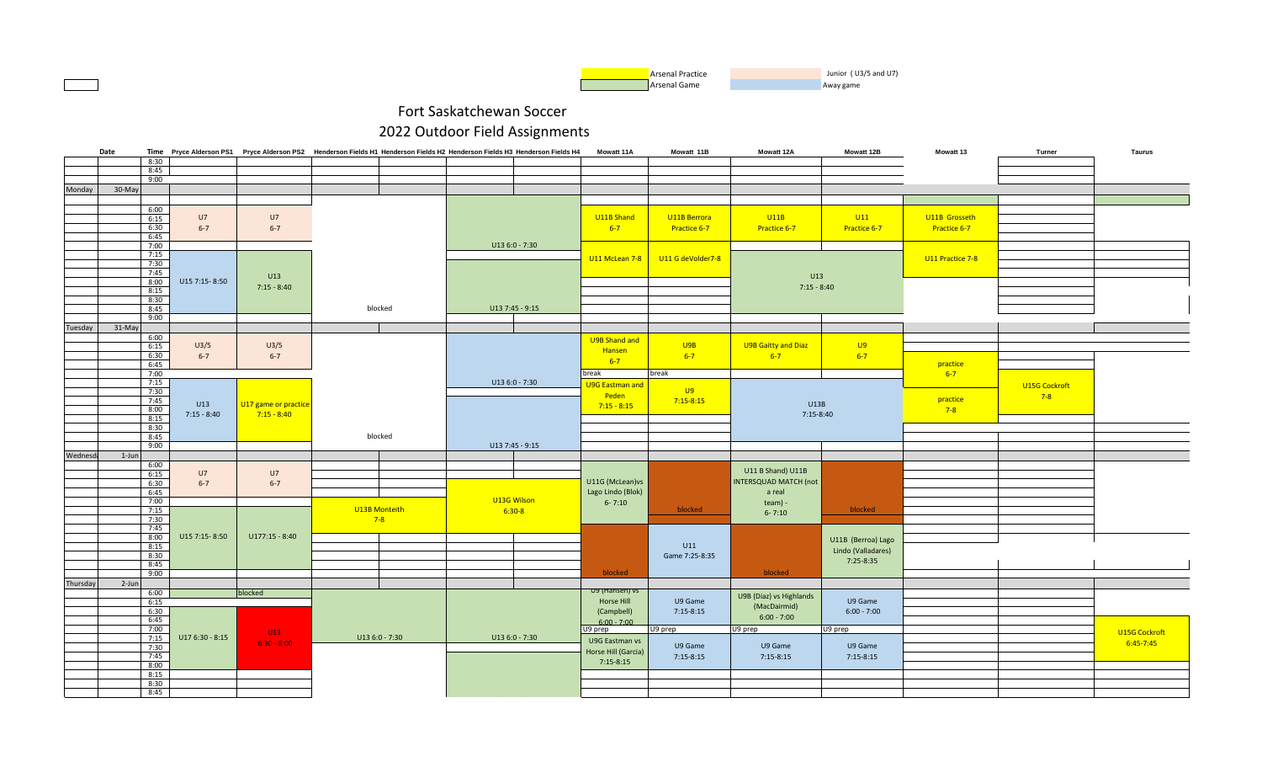

|          | Date   |              |                  |                      | Time Pryce Alderson PS1 Pryce Alderson PS2 Henderson Fields H1 Henderson Fields H2 Henderson Fields H3 Henderson Fields H4 |                  | Mowatt 11A             | Mowatt 11B        | <b>Mowatt 12A</b>       | Mowatt 12B         | <b>Mowatt 13</b> | Turner        | Taurus        |
|----------|--------|--------------|------------------|----------------------|----------------------------------------------------------------------------------------------------------------------------|------------------|------------------------|-------------------|-------------------------|--------------------|------------------|---------------|---------------|
|          |        | 8:30         |                  |                      |                                                                                                                            |                  |                        |                   |                         |                    |                  |               |               |
|          |        | 8:45         |                  |                      |                                                                                                                            |                  |                        |                   |                         |                    |                  |               |               |
|          |        | 9:00         |                  |                      |                                                                                                                            |                  |                        |                   |                         |                    |                  |               |               |
| Monday   | 30-May |              |                  |                      |                                                                                                                            |                  |                        |                   |                         |                    |                  |               |               |
|          |        |              |                  |                      |                                                                                                                            |                  |                        |                   |                         |                    |                  |               |               |
|          |        |              |                  |                      |                                                                                                                            |                  |                        |                   |                         |                    |                  |               |               |
|          |        | 6:00<br>6:15 | U7               | U7                   |                                                                                                                            |                  | U11B Shand             | U11B Berrora      | U11B                    | U11                | U11B Grosseth    |               |               |
|          |        |              |                  |                      |                                                                                                                            |                  |                        |                   |                         |                    |                  |               |               |
|          |        | 6:30         | $6 - 7$          | $6 - 7$              |                                                                                                                            |                  | $6 - 7$                | Practice 6-7      | Practice 6-7            | Practice 6-7       | Practice 6-7     |               |               |
|          |        | 6:45         |                  |                      |                                                                                                                            |                  |                        |                   |                         |                    |                  |               |               |
|          |        | 7:00         |                  |                      |                                                                                                                            | U13 6:0 - 7:30   |                        |                   |                         |                    |                  |               |               |
|          |        | 7:15         |                  |                      |                                                                                                                            |                  | U11 McLean 7-8         | U11 G deVolder7-8 |                         |                    | U11 Practice 7-8 |               |               |
|          |        | 7:30         |                  |                      |                                                                                                                            |                  |                        |                   |                         |                    |                  |               |               |
|          |        | 7:45         |                  | U13                  |                                                                                                                            |                  |                        |                   | U13                     |                    |                  |               |               |
|          |        | 8:00         | U15 7:15-8:50    | $7:15 - 8:40$        |                                                                                                                            |                  |                        |                   | $7:15 - 8:40$           |                    |                  |               |               |
|          |        | 8:15         |                  |                      |                                                                                                                            |                  |                        |                   |                         |                    |                  |               |               |
|          |        | 8:30         |                  |                      |                                                                                                                            |                  |                        |                   |                         |                    |                  |               |               |
|          |        | 8:45         |                  |                      | blocked                                                                                                                    | U13 7:45 - 9:15  |                        |                   |                         |                    |                  |               |               |
|          |        | 9:00         |                  |                      |                                                                                                                            |                  |                        |                   |                         |                    |                  |               |               |
| Tuesday  | 31-May |              |                  |                      |                                                                                                                            |                  |                        |                   |                         |                    |                  |               |               |
|          |        | 6:00         |                  |                      |                                                                                                                            |                  |                        |                   |                         |                    |                  |               |               |
|          |        | 6:15         | U3/5             | U3/5                 |                                                                                                                            |                  | U9B Shand and          | U9B               | U9B Gaitty and Diaz     | U9                 |                  |               |               |
|          |        | 6:30         | $6 - 7$          | $6 - 7$              |                                                                                                                            |                  | Hansen                 | $6 - 7$           | $6 - 7$                 | $6 - 7$            |                  |               |               |
|          |        | 6:45         |                  |                      |                                                                                                                            |                  | $6-7$                  |                   |                         |                    | practice         |               |               |
|          |        |              |                  |                      |                                                                                                                            |                  |                        |                   |                         |                    |                  |               |               |
|          |        | 7:00         |                  |                      |                                                                                                                            |                  | break                  | break             |                         |                    | $6 - 7$          |               |               |
|          |        | 7:15         |                  |                      |                                                                                                                            | U13 6:0 - 7:30   | <b>U9G Eastman and</b> | <b>U9</b>         |                         |                    |                  | U15G Cockroft |               |
|          |        | 7:30         |                  |                      |                                                                                                                            |                  | Peden                  |                   |                         |                    |                  | $7-8$         |               |
|          |        | 7:45         | U13              | U17 game or practice |                                                                                                                            |                  | $7:15 - 8:15$          | $7:15 - 8:15$     | U13B                    |                    | practice         |               |               |
|          |        | 8:00         | $7:15 - 8:40$    | $7:15 - 8:40$        |                                                                                                                            |                  |                        |                   | $7:15-8:40$             |                    | $7-8$            |               |               |
|          |        | 8:15         |                  |                      |                                                                                                                            |                  |                        |                   |                         |                    |                  |               |               |
|          |        | 8:30         |                  |                      |                                                                                                                            |                  |                        |                   |                         |                    |                  |               |               |
|          |        | 8:45         |                  |                      | blocked                                                                                                                    |                  |                        |                   |                         |                    |                  |               |               |
|          |        | 9:00         |                  |                      |                                                                                                                            | $U137:45 - 9:15$ |                        |                   |                         |                    |                  |               |               |
| Wednesda | 1-Jun  |              |                  |                      |                                                                                                                            |                  |                        |                   |                         |                    |                  |               |               |
|          |        | 6:00         |                  |                      |                                                                                                                            |                  |                        |                   |                         |                    |                  |               |               |
|          |        | 6:15         | U7               | U7                   |                                                                                                                            |                  |                        |                   | U11 B Shand) U11B       |                    |                  |               |               |
|          |        | 6:30         | $6 - 7$          | $6 - 7$              |                                                                                                                            |                  | U11G (McLean) vs       |                   | INTERSQUAD MATCH (not   |                    |                  |               |               |
|          |        | 6:45         |                  |                      |                                                                                                                            |                  | Lago Lindo (Blok)      |                   | a real                  |                    |                  |               |               |
|          |        | 7:00         |                  |                      |                                                                                                                            | U13G Wilson      | $6 - 7:10$             |                   | team) -                 |                    |                  |               |               |
|          |        | 7:15         |                  |                      | U13B Monteith                                                                                                              | $6:30-8$         |                        | blocked           |                         | blocked            |                  |               |               |
|          |        | 7:30         |                  |                      | $7 - 8$                                                                                                                    |                  |                        |                   | $6 - 7:10$              |                    |                  |               |               |
|          |        | 7:45         |                  |                      |                                                                                                                            |                  |                        |                   |                         |                    |                  |               |               |
|          |        | 8:00         | U15 7:15-8:50    | $U177:15 - 8:40$     |                                                                                                                            |                  |                        |                   |                         |                    |                  |               |               |
|          |        | 8:15         |                  |                      |                                                                                                                            |                  |                        | U11               |                         | U11B (Berroa) Lago |                  |               |               |
|          |        | 8:30         |                  |                      |                                                                                                                            |                  |                        | Game 7:25-8:35    |                         | Lindo (Valladares) |                  |               |               |
|          |        | 8:45         |                  |                      |                                                                                                                            |                  |                        |                   |                         | 7:25-8:35          |                  |               |               |
|          |        | 9:00         |                  |                      |                                                                                                                            |                  | blocked                |                   | blocked                 |                    |                  |               |               |
|          |        |              |                  |                      |                                                                                                                            |                  |                        |                   |                         |                    |                  |               |               |
| Thursday | 2-Jun  |              |                  |                      |                                                                                                                            |                  | U9 (Hansen) vs         |                   |                         |                    |                  |               |               |
|          |        | 6:00         |                  | blocked              |                                                                                                                            |                  |                        |                   | U9B (Diaz) vs Highlands |                    |                  |               |               |
|          |        | 6:15         |                  |                      |                                                                                                                            |                  | Horse Hill             | U9 Game           | (MacDairmid)            | U9 Game            |                  |               |               |
|          |        | 6:30         |                  |                      |                                                                                                                            |                  | (Campbell)             | $7:15-8:15$       | $6:00 - 7:00$           | $6:00 - 7:00$      |                  |               |               |
|          |        | 6:45         |                  |                      |                                                                                                                            |                  | $6:00 - 7:00$          |                   |                         |                    |                  |               |               |
|          |        | 7:00         |                  | U13                  |                                                                                                                            |                  | U9 prep                | U9 prep           | U9 prep                 | U9 prep            |                  |               | U15G Cockroft |
|          |        | 7:15         | $U176:30 - 8:15$ |                      | $U136:0 - 7:30$                                                                                                            | $U136:0 - 7:30$  | U9G Eastman vs         |                   |                         |                    |                  |               |               |
|          |        | 7:30         |                  | $6:30 - 8:00$        |                                                                                                                            |                  |                        | U9 Game           | U9 Game                 | U9 Game            |                  |               | 6:45-7:45     |
|          |        | 7:45         |                  |                      |                                                                                                                            |                  | Horse Hill (Garcia)    | $7:15-8:15$       | $7:15-8:15$             | $7:15-8:15$        |                  |               |               |
|          |        | 8:00         |                  |                      |                                                                                                                            |                  | $7:15-8:15$            |                   |                         |                    |                  |               |               |
|          |        | 8:15         |                  |                      |                                                                                                                            |                  |                        |                   |                         |                    |                  |               |               |
|          |        | 8:30         |                  |                      |                                                                                                                            |                  |                        |                   |                         |                    |                  |               |               |
|          |        | 8:45         |                  |                      |                                                                                                                            |                  |                        |                   |                         |                    |                  |               |               |
|          |        |              |                  |                      |                                                                                                                            |                  |                        |                   |                         |                    |                  |               |               |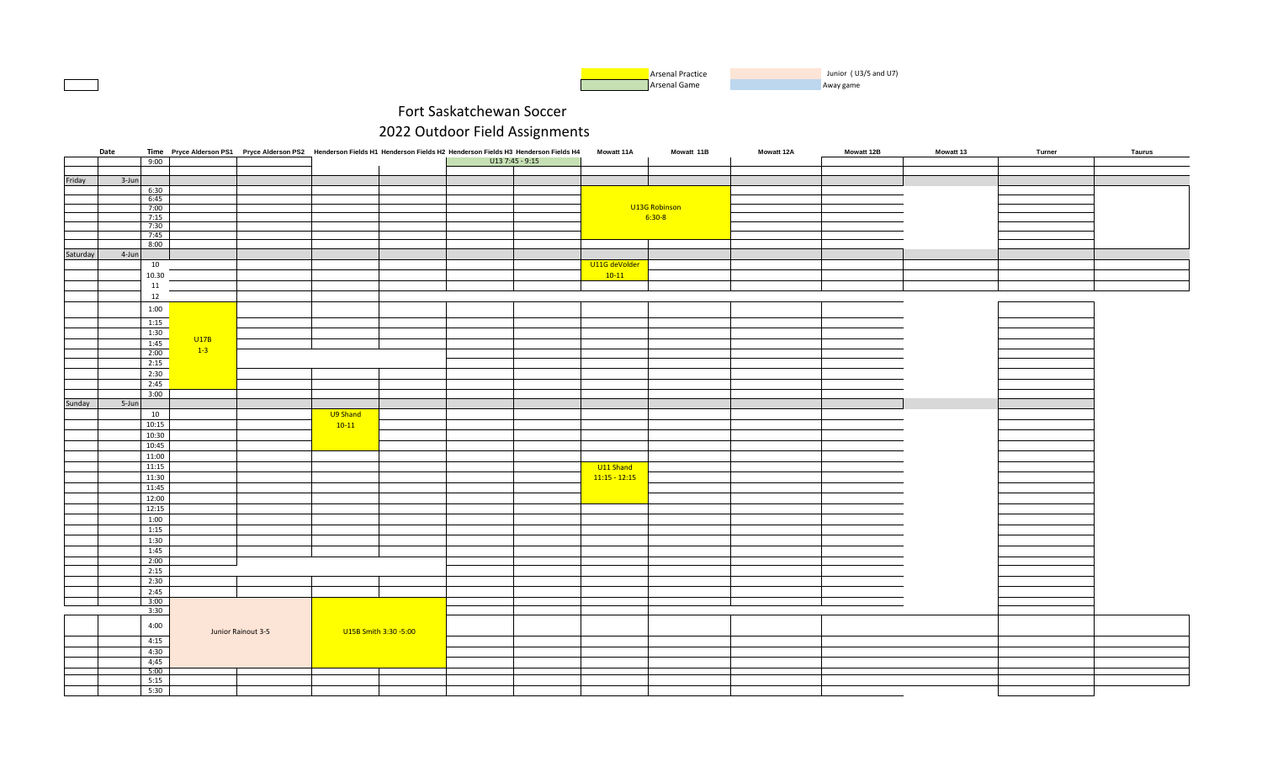| Arsenal Practice | Junior (U3/5 and U7) |
|------------------|----------------------|
| Arsenal Game     | Away game            |

|          | Date  |        |        | Time Pryce Alderson PS1 Pryce Alderson PS2 Henderson Fields H1 Henderson Fields H2 Henderson Fields H3 Henderson Fields H4 |                       |                 | <b>Mowatt 11A</b> | Mowatt 11B    | <b>Mowatt 12A</b> | <b>Mowatt 12B</b> | <b>Mowatt 13</b> | Turner | Taurus |
|----------|-------|--------|--------|----------------------------------------------------------------------------------------------------------------------------|-----------------------|-----------------|-------------------|---------------|-------------------|-------------------|------------------|--------|--------|
|          |       | 9:00   |        |                                                                                                                            |                       | U13 7:45 - 9:15 |                   |               |                   |                   |                  |        |        |
|          |       |        |        |                                                                                                                            |                       |                 |                   |               |                   |                   |                  |        |        |
| Friday   | 3-Jun |        |        |                                                                                                                            |                       |                 |                   |               |                   |                   |                  |        |        |
|          |       | 6:30   |        |                                                                                                                            |                       |                 |                   |               |                   |                   |                  |        |        |
|          |       | 6:45   |        |                                                                                                                            |                       |                 |                   |               |                   |                   |                  |        |        |
|          |       | 7:00   |        |                                                                                                                            |                       |                 |                   | U13G Robinson |                   |                   |                  |        |        |
|          |       | 7:15   |        |                                                                                                                            |                       |                 |                   | $6:30-8$      |                   |                   |                  |        |        |
|          |       | 7:30   |        |                                                                                                                            |                       |                 |                   |               |                   |                   |                  |        |        |
|          |       | 7:45   |        |                                                                                                                            |                       |                 |                   |               |                   |                   |                  |        |        |
|          |       | 8:00   |        |                                                                                                                            |                       |                 |                   |               |                   |                   |                  |        |        |
|          |       |        |        |                                                                                                                            |                       |                 |                   |               |                   |                   |                  |        |        |
| Saturday | 4-Jun |        |        |                                                                                                                            |                       |                 |                   |               |                   |                   |                  |        |        |
|          |       | 10     |        |                                                                                                                            |                       |                 | U11G deVolder     |               |                   |                   |                  |        |        |
|          |       | 10.30  |        |                                                                                                                            |                       |                 | $10-11$           |               |                   |                   |                  |        |        |
|          |       | $11\,$ |        |                                                                                                                            |                       |                 |                   |               |                   |                   |                  |        |        |
|          |       | 12     |        |                                                                                                                            |                       |                 |                   |               |                   |                   |                  |        |        |
|          |       |        |        |                                                                                                                            |                       |                 |                   |               |                   |                   |                  |        |        |
|          |       | 1:00   |        |                                                                                                                            |                       |                 |                   |               |                   |                   |                  |        |        |
|          |       | 1:15   |        |                                                                                                                            |                       |                 |                   |               |                   |                   |                  |        |        |
|          |       |        |        |                                                                                                                            |                       |                 |                   |               |                   |                   |                  |        |        |
|          |       | 1:30   | U17B   |                                                                                                                            |                       |                 |                   |               |                   |                   |                  |        |        |
|          |       | 1:45   | $-1-3$ |                                                                                                                            |                       |                 |                   |               |                   |                   |                  |        |        |
|          |       | 2:00   |        |                                                                                                                            |                       |                 |                   |               |                   |                   |                  |        |        |
|          |       | 2:15   |        |                                                                                                                            |                       |                 |                   |               |                   |                   |                  |        |        |
|          |       | 2:30   |        |                                                                                                                            |                       |                 |                   |               |                   |                   |                  |        |        |
|          |       | 2:45   |        |                                                                                                                            |                       |                 |                   |               |                   |                   |                  |        |        |
|          |       | 3:00   |        |                                                                                                                            |                       |                 |                   |               |                   |                   |                  |        |        |
|          |       |        |        |                                                                                                                            |                       |                 |                   |               |                   |                   |                  |        |        |
| Sunday   | 5-Jun |        |        |                                                                                                                            |                       |                 |                   |               |                   |                   |                  |        |        |
|          |       | 10     |        |                                                                                                                            | U9 Shand              |                 |                   |               |                   |                   |                  |        |        |
|          |       | 10:15  |        |                                                                                                                            | $10-11$               |                 |                   |               |                   |                   |                  |        |        |
|          |       | 10:30  |        |                                                                                                                            |                       |                 |                   |               |                   |                   |                  |        |        |
|          |       | 10:45  |        |                                                                                                                            |                       |                 |                   |               |                   |                   |                  |        |        |
|          |       | 11:00  |        |                                                                                                                            |                       |                 |                   |               |                   |                   |                  |        |        |
|          |       |        |        |                                                                                                                            |                       |                 |                   |               |                   |                   |                  |        |        |
|          |       | 11:15  |        |                                                                                                                            |                       |                 | U11 Shand         |               |                   |                   |                  |        |        |
|          |       | 11:30  |        |                                                                                                                            |                       |                 | $11:15 - 12:15$   |               |                   |                   |                  |        |        |
|          |       | 11:45  |        |                                                                                                                            |                       |                 |                   |               |                   |                   |                  |        |        |
|          |       | 12:00  |        |                                                                                                                            |                       |                 |                   |               |                   |                   |                  |        |        |
|          |       | 12:15  |        |                                                                                                                            |                       |                 |                   |               |                   |                   |                  |        |        |
|          |       |        |        |                                                                                                                            |                       |                 |                   |               |                   |                   |                  |        |        |
|          |       | 1:00   |        |                                                                                                                            |                       |                 |                   |               |                   |                   |                  |        |        |
|          |       | 1:15   |        |                                                                                                                            |                       |                 |                   |               |                   |                   |                  |        |        |
|          |       | 1:30   |        |                                                                                                                            |                       |                 |                   |               |                   |                   |                  |        |        |
|          |       | 1:45   |        |                                                                                                                            |                       |                 |                   |               |                   |                   |                  |        |        |
|          |       | 2:00   |        |                                                                                                                            |                       |                 |                   |               |                   |                   |                  |        |        |
|          |       | 2:15   |        |                                                                                                                            |                       |                 |                   |               |                   |                   |                  |        |        |
|          |       | 2:30   |        |                                                                                                                            |                       |                 |                   |               |                   |                   |                  |        |        |
|          |       |        |        |                                                                                                                            |                       |                 |                   |               |                   |                   |                  |        |        |
|          |       | 2:45   |        |                                                                                                                            |                       |                 |                   |               |                   |                   |                  |        |        |
|          |       | 3:00   |        |                                                                                                                            |                       |                 |                   |               |                   |                   |                  |        |        |
|          |       | 3:30   |        |                                                                                                                            |                       |                 |                   |               |                   |                   |                  |        |        |
|          |       |        |        |                                                                                                                            |                       |                 |                   |               |                   |                   |                  |        |        |
|          |       | 4:00   |        | Junior Rainout 3-5                                                                                                         | U15B Smith 3:30 -5:00 |                 |                   |               |                   |                   |                  |        |        |
|          |       | 4:15   |        |                                                                                                                            |                       |                 |                   |               |                   |                   |                  |        |        |
|          |       |        |        |                                                                                                                            |                       |                 |                   |               |                   |                   |                  |        |        |
|          |       | 4:30   |        |                                                                                                                            |                       |                 |                   |               |                   |                   |                  |        |        |
|          |       | 4;45   |        |                                                                                                                            |                       |                 |                   |               |                   |                   |                  |        |        |
|          |       | 5:00   |        |                                                                                                                            |                       |                 |                   |               |                   |                   |                  |        |        |
|          |       | 5:15   |        |                                                                                                                            |                       |                 |                   |               |                   |                   |                  |        |        |
|          |       | 5:30   |        |                                                                                                                            |                       |                 |                   |               |                   |                   |                  |        |        |
|          |       |        |        |                                                                                                                            |                       |                 |                   |               |                   |                   |                  |        |        |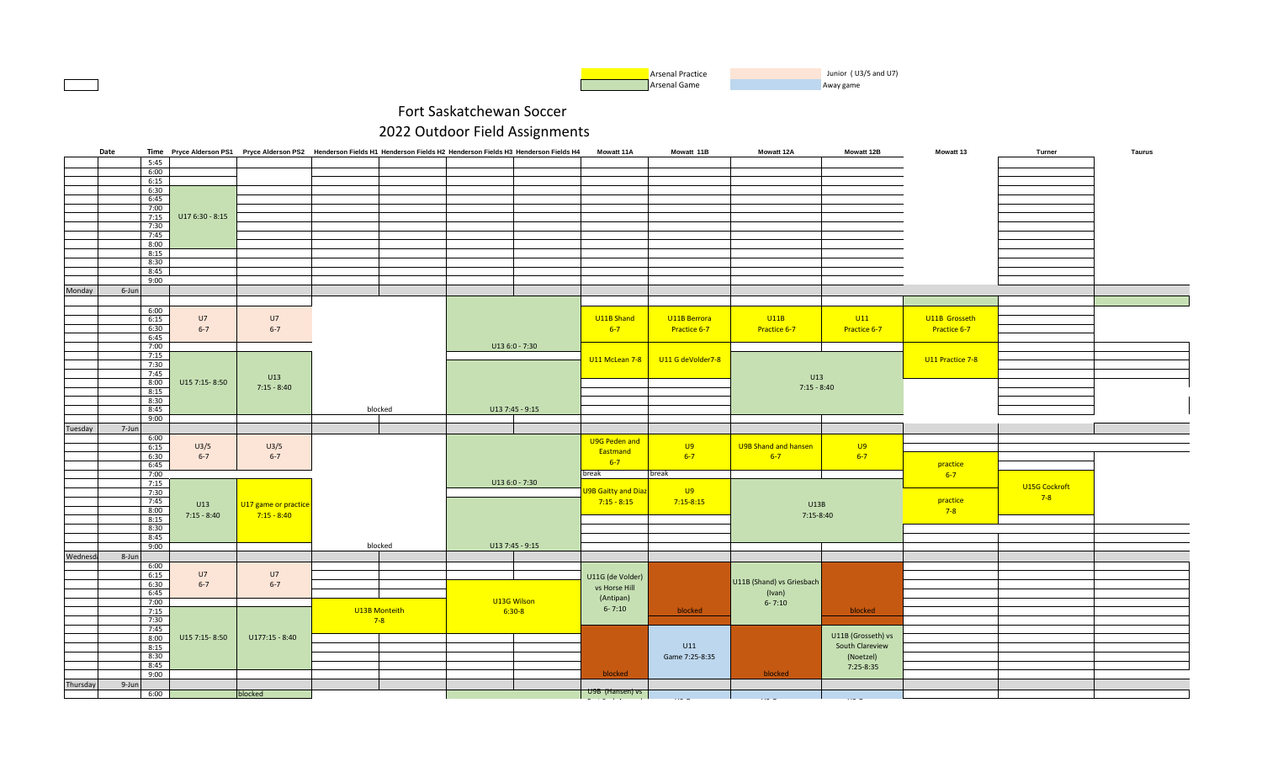

|                      | Date  |                  |                      |               | Time Pryce Alderson PS1 Pryce Alderson PS2 Henderson Fields H1 Henderson Fields H2 Henderson Fields H3 Henderson Fields H4 | <b>Mowatt 11A</b>          | Mowatt 11B        | <b>Mowatt 12A</b>         | Mowatt 12B         | Mowatt 13        | Turner        | Taurus |
|----------------------|-------|------------------|----------------------|---------------|----------------------------------------------------------------------------------------------------------------------------|----------------------------|-------------------|---------------------------|--------------------|------------------|---------------|--------|
|                      | 5:45  |                  |                      |               |                                                                                                                            |                            |                   |                           |                    |                  |               |        |
|                      | 6:00  |                  |                      |               |                                                                                                                            |                            |                   |                           |                    |                  |               |        |
|                      | 6:15  |                  |                      |               |                                                                                                                            |                            |                   |                           |                    |                  |               |        |
|                      | 6:30  |                  |                      |               |                                                                                                                            |                            |                   |                           |                    |                  |               |        |
|                      | 6:45  |                  |                      |               |                                                                                                                            |                            |                   |                           |                    |                  |               |        |
|                      | 7:00  |                  |                      |               |                                                                                                                            |                            |                   |                           |                    |                  |               |        |
|                      | 7:15  | $U176:30 - 8:15$ |                      |               |                                                                                                                            |                            |                   |                           |                    |                  |               |        |
|                      | 7:30  |                  |                      |               |                                                                                                                            |                            |                   |                           |                    |                  |               |        |
|                      | 7:45  |                  |                      |               |                                                                                                                            |                            |                   |                           |                    |                  |               |        |
|                      | 8:00  |                  |                      |               |                                                                                                                            |                            |                   |                           |                    |                  |               |        |
|                      | 8:15  |                  |                      |               |                                                                                                                            |                            |                   |                           |                    |                  |               |        |
|                      |       |                  |                      |               |                                                                                                                            |                            |                   |                           |                    |                  |               |        |
|                      | 8:30  |                  |                      |               |                                                                                                                            |                            |                   |                           |                    |                  |               |        |
|                      | 8:45  |                  |                      |               |                                                                                                                            |                            |                   |                           |                    |                  |               |        |
|                      | 9:00  |                  |                      |               |                                                                                                                            |                            |                   |                           |                    |                  |               |        |
| Monday               | 6-Jun |                  |                      |               |                                                                                                                            |                            |                   |                           |                    |                  |               |        |
|                      |       |                  |                      |               |                                                                                                                            |                            |                   |                           |                    |                  |               |        |
|                      | 6:00  |                  |                      |               |                                                                                                                            |                            |                   |                           |                    |                  |               |        |
|                      | 6:15  | U7               | U7                   |               |                                                                                                                            | U11B Shand                 | U11B Berrora      | U11B                      | U11                | U11B Grosseth    |               |        |
|                      | 6:30  | $6 - 7$          | $6 - 7$              |               |                                                                                                                            | $6-7$                      | Practice 6-7      | Practice 6-7              | Practice 6-7       | Practice 6-7     |               |        |
|                      | 6:45  |                  |                      |               |                                                                                                                            |                            |                   |                           |                    |                  |               |        |
|                      | 7:00  |                  |                      |               | U13 6:0 - 7:30                                                                                                             |                            |                   |                           |                    |                  |               |        |
|                      | 7:15  |                  |                      |               |                                                                                                                            |                            |                   |                           |                    |                  |               |        |
|                      | 7:30  |                  |                      |               |                                                                                                                            | U11 McLean 7-8             | U11 G deVolder7-8 |                           |                    | U11 Practice 7-8 |               |        |
|                      | 7:45  |                  |                      |               |                                                                                                                            |                            |                   |                           |                    |                  |               |        |
|                      | 8:00  | U15 7:15-8:50    | U13                  |               |                                                                                                                            |                            |                   | U13                       |                    |                  |               |        |
|                      |       |                  | $7:15 - 8:40$        |               |                                                                                                                            |                            |                   | $7:15 - 8:40$             |                    |                  |               |        |
|                      | 8:15  |                  |                      |               |                                                                                                                            |                            |                   |                           |                    |                  |               |        |
|                      | 8:30  |                  |                      |               |                                                                                                                            |                            |                   |                           |                    |                  |               |        |
|                      | 8:45  |                  |                      | blocked       | U13 7:45 - 9:15                                                                                                            |                            |                   |                           |                    |                  |               |        |
|                      | 9:00  |                  |                      |               |                                                                                                                            |                            |                   |                           |                    |                  |               |        |
| Tuesday              | 7-Jun |                  |                      |               |                                                                                                                            |                            |                   |                           |                    |                  |               |        |
|                      | 6:00  |                  |                      |               |                                                                                                                            | U9G Peden and              |                   |                           |                    |                  |               |        |
|                      | 6:15  | U3/5             | U3/5                 |               |                                                                                                                            | Eastmand                   | U9                | U9B Shand and hansen      | $\overline{U}9$    |                  |               |        |
|                      | 6:30  | $6 - 7$          | $6 - 7$              |               |                                                                                                                            |                            | $6 - 7$           | $6 - 7$                   | $6 - 7$            |                  |               |        |
|                      | 6:45  |                  |                      |               |                                                                                                                            | $6-7$                      |                   |                           |                    | practice         |               |        |
|                      | 7:00  |                  |                      |               |                                                                                                                            | break                      | break             |                           |                    | $6 - 7$          |               |        |
|                      | 7:15  |                  |                      |               | $U136:0 - 7:30$                                                                                                            |                            |                   |                           |                    |                  | U15G Cockroft |        |
|                      | 7:30  |                  |                      |               |                                                                                                                            | <b>J9B Gaitty and Diaz</b> | <b>U9</b>         |                           |                    |                  |               |        |
|                      | 7:45  |                  |                      |               |                                                                                                                            | $7:15 - 8:15$              | $7:15 - 8:15$     |                           |                    | practice         | $7-8$         |        |
|                      | 8:00  | U13              | U17 game or practice |               |                                                                                                                            |                            |                   | U13B                      |                    | $7-8$            |               |        |
|                      | 8:15  | $7:15 - 8:40$    | $7:15 - 8:40$        |               |                                                                                                                            |                            |                   | 7:15-8:40                 |                    |                  |               |        |
|                      | 8:30  |                  |                      |               |                                                                                                                            |                            |                   |                           |                    |                  |               |        |
|                      | 8:45  |                  |                      |               |                                                                                                                            |                            |                   |                           |                    |                  |               |        |
|                      | 9:00  |                  |                      | blocked       | U13 7:45 - 9:15                                                                                                            |                            |                   |                           |                    |                  |               |        |
|                      |       |                  |                      |               |                                                                                                                            |                            |                   |                           |                    |                  |               |        |
| Wednesd <sub>i</sub> | 8-Jun |                  |                      |               |                                                                                                                            |                            |                   |                           |                    |                  |               |        |
|                      | 6:00  |                  |                      |               |                                                                                                                            |                            |                   |                           |                    |                  |               |        |
|                      | 6:15  | U7               | U7                   |               |                                                                                                                            | U11G (de Volder)           |                   | U11B (Shand) vs Griesbach |                    |                  |               |        |
|                      | 6:30  | $6 - 7$          | $6 - 7$              |               |                                                                                                                            | vs Horse Hill              |                   |                           |                    |                  |               |        |
|                      | 6:45  |                  |                      |               |                                                                                                                            | (Antipan)                  |                   | (Ivan)                    |                    |                  |               |        |
|                      | 7:00  |                  |                      |               | U13G Wilson                                                                                                                |                            |                   | $6 - 7:10$                |                    |                  |               |        |
|                      | 7:15  |                  |                      | U13B Monteith | $6:30-8$                                                                                                                   | $6 - 7:10$                 | blocked           |                           | blocked            |                  |               |        |
|                      | 7:30  |                  |                      | $7-8$         |                                                                                                                            |                            |                   |                           |                    |                  |               |        |
|                      | 7:45  |                  |                      |               |                                                                                                                            |                            |                   |                           |                    |                  |               |        |
|                      | 8:00  | U15 7:15-8:50    | $U177:15 - 8:40$     |               |                                                                                                                            |                            |                   |                           | U11B (Grosseth) vs |                  |               |        |
|                      | 8:15  |                  |                      |               |                                                                                                                            |                            | U11               |                           | South Clareview    |                  |               |        |
|                      | 8:30  |                  |                      |               |                                                                                                                            |                            | Game 7:25-8:35    |                           | (Noetzel)          |                  |               |        |
|                      | 8:45  |                  |                      |               |                                                                                                                            |                            |                   |                           | 7:25-8:35          |                  |               |        |
|                      | 9:00  |                  |                      |               |                                                                                                                            | blocked                    |                   | blocked                   |                    |                  |               |        |
| Thursday             | 9-Jun |                  |                      |               |                                                                                                                            |                            |                   |                           |                    |                  |               |        |
|                      | 6:00  |                  | blocked              |               |                                                                                                                            | <del>U9B</del> (Hansen) vs |                   |                           |                    |                  |               |        |
|                      |       |                  |                      |               |                                                                                                                            |                            |                   |                           |                    |                  |               |        |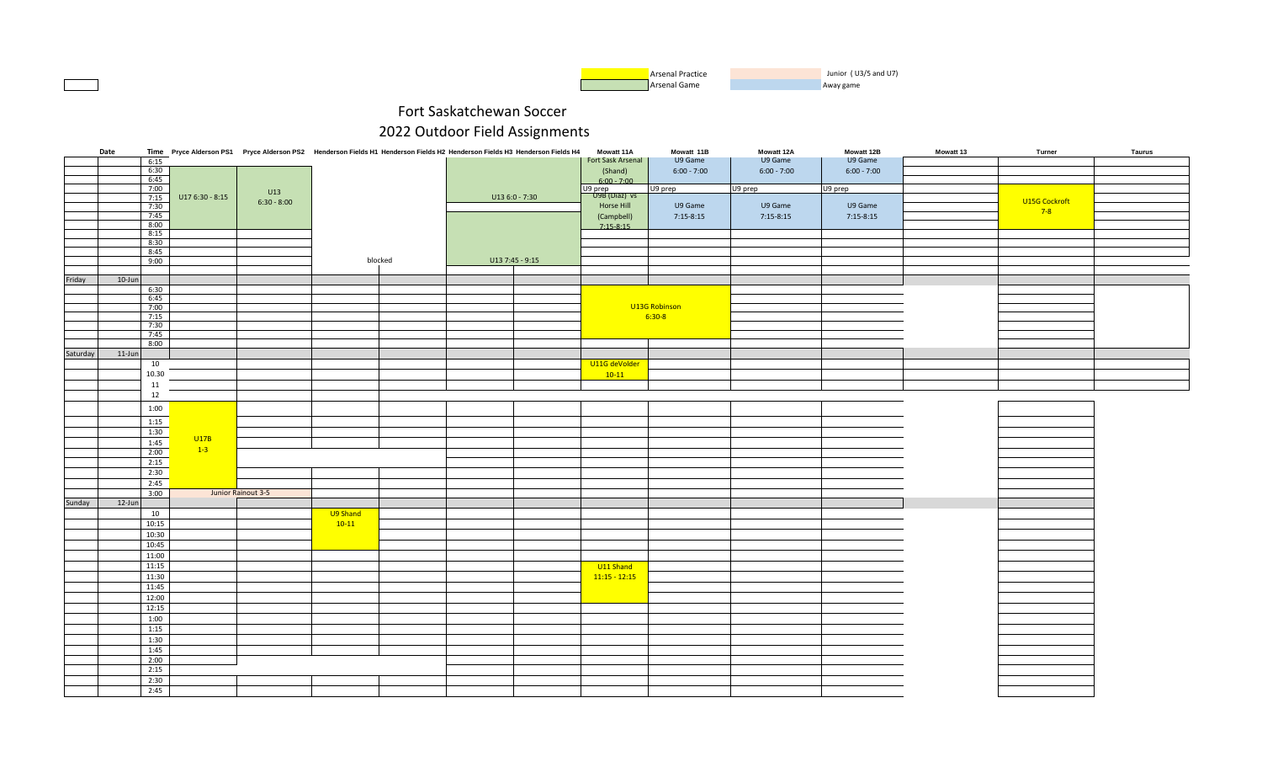| <b>Arsenal Practice</b> | Junior (U3/5 and U7) |
|-------------------------|----------------------|
| Arsenal Game            | Away game            |

|          | Date       |              |                  | Time Pryce Alderson PS1 Pryce Alderson PS2 Henderson Fields H1 Henderson Fields H2 Henderson Fields H3 Henderson Fields H4 |          |         |                 |                | <b>Mowatt 11A</b>        | Mowatt 11B    | Mowatt 12A    | Mowatt 12B    | Mowatt 13 | Turner        | <b>Taurus</b> |
|----------|------------|--------------|------------------|----------------------------------------------------------------------------------------------------------------------------|----------|---------|-----------------|----------------|--------------------------|---------------|---------------|---------------|-----------|---------------|---------------|
|          |            | 6:15         |                  |                                                                                                                            |          |         |                 |                | Fort Sask Arsenal        | U9 Game       | U9 Game       | U9 Game       |           |               |               |
|          |            | 6:30         |                  |                                                                                                                            |          |         |                 |                | (Shand)                  | $6:00 - 7:00$ | $6:00 - 7:00$ | $6:00 - 7:00$ |           |               |               |
|          |            | 6:45         |                  |                                                                                                                            |          |         |                 |                | $6:00 - 7:00$            |               |               |               |           |               |               |
|          |            | 7:00         |                  | U13                                                                                                                        |          |         |                 |                | U9 prep<br>U9B (Diaz) vs | U9 prep       | U9 prep       | U9 prep       |           |               |               |
|          |            | 7:15         | $U176:30 - 8:15$ | $6:30 - 8:00$                                                                                                              |          |         |                 | U13 6:0 - 7:30 |                          |               |               |               |           | U15G Cockroft |               |
|          |            | 7:30         |                  |                                                                                                                            |          |         |                 |                | Horse Hill               | U9 Game       | U9 Game       | U9 Game       |           | $7-8$         |               |
|          |            | 7:45<br>8:00 |                  |                                                                                                                            |          |         |                 |                | (Campbell)               | $7:15-8:15$   | $7:15-8:15$   | $7:15-8:15$   |           |               |               |
|          |            | 8:15         |                  |                                                                                                                            |          |         |                 |                | $7:15-8:15$              |               |               |               |           |               |               |
|          |            | 8:30         |                  |                                                                                                                            |          |         |                 |                |                          |               |               |               |           |               |               |
|          |            | 8:45         |                  |                                                                                                                            |          |         |                 |                |                          |               |               |               |           |               |               |
|          |            | 9:00         |                  |                                                                                                                            |          | blocked | U13 7:45 - 9:15 |                |                          |               |               |               |           |               |               |
|          |            |              |                  |                                                                                                                            |          |         |                 |                |                          |               |               |               |           |               |               |
| Friday   | $10 - Jun$ |              |                  |                                                                                                                            |          |         |                 |                |                          |               |               |               |           |               |               |
|          |            | 6:30         |                  |                                                                                                                            |          |         |                 |                |                          |               |               |               |           |               |               |
|          |            | 6:45         |                  |                                                                                                                            |          |         |                 |                |                          |               |               |               |           |               |               |
|          |            | 7:00         |                  |                                                                                                                            |          |         |                 |                |                          | U13G Robinson |               |               |           |               |               |
|          |            | 7:15         |                  |                                                                                                                            |          |         |                 |                |                          | $6:30-8$      |               |               |           |               |               |
|          |            | 7:30         |                  |                                                                                                                            |          |         |                 |                |                          |               |               |               |           |               |               |
|          |            | 7:45         |                  |                                                                                                                            |          |         |                 |                |                          |               |               |               |           |               |               |
|          |            | 8:00         |                  |                                                                                                                            |          |         |                 |                |                          |               |               |               |           |               |               |
| Saturday | $11$ -Jun  |              |                  |                                                                                                                            |          |         |                 |                |                          |               |               |               |           |               |               |
|          |            | 10           |                  |                                                                                                                            |          |         |                 |                | U11G deVolder            |               |               |               |           |               |               |
|          |            | 10.30        |                  |                                                                                                                            |          |         |                 |                | $10-11$                  |               |               |               |           |               |               |
|          |            | 11           |                  |                                                                                                                            |          |         |                 |                |                          |               |               |               |           |               |               |
|          |            | 12           |                  |                                                                                                                            |          |         |                 |                |                          |               |               |               |           |               |               |
|          |            | 1:00         |                  |                                                                                                                            |          |         |                 |                |                          |               |               |               |           |               |               |
|          |            |              |                  |                                                                                                                            |          |         |                 |                |                          |               |               |               |           |               |               |
|          |            | 1:15         |                  |                                                                                                                            |          |         |                 |                |                          |               |               |               |           |               |               |
|          |            | 1:30         | U17B             |                                                                                                                            |          |         |                 |                |                          |               |               |               |           |               |               |
|          |            | 1:45         | $1-3$            |                                                                                                                            |          |         |                 |                |                          |               |               |               |           |               |               |
|          |            | 2:00         |                  |                                                                                                                            |          |         |                 |                |                          |               |               |               |           |               |               |
|          |            | 2:15         |                  |                                                                                                                            |          |         |                 |                |                          |               |               |               |           |               |               |
|          |            | 2:30         |                  |                                                                                                                            |          |         |                 |                |                          |               |               |               |           |               |               |
|          |            | 2:45         |                  |                                                                                                                            |          |         |                 |                |                          |               |               |               |           |               |               |
|          |            | 3:00         |                  | Junior Rainout 3-5                                                                                                         |          |         |                 |                |                          |               |               |               |           |               |               |
| Sunday   | 12-Jun     |              |                  |                                                                                                                            |          |         |                 |                |                          |               |               |               |           |               |               |
|          |            | 10           |                  |                                                                                                                            | U9 Shand |         |                 |                |                          |               |               |               |           |               |               |
|          |            | 10:15        |                  |                                                                                                                            | $10-11$  |         |                 |                |                          |               |               |               |           |               |               |
|          |            | 10:30        |                  |                                                                                                                            |          |         |                 |                |                          |               |               |               |           |               |               |
|          |            | 10:45        |                  |                                                                                                                            |          |         |                 |                |                          |               |               |               |           |               |               |
|          |            | 11:00        |                  |                                                                                                                            |          |         |                 |                |                          |               |               |               |           |               |               |
|          |            | 11:15        |                  |                                                                                                                            |          |         |                 |                | U11 Shand                |               |               |               |           |               |               |
|          |            | 11:30        |                  |                                                                                                                            |          |         |                 |                | $11:15 - 12:15$          |               |               |               |           |               |               |
|          |            | 11:45        |                  |                                                                                                                            |          |         |                 |                |                          |               |               |               |           |               |               |
|          |            | 12:00        |                  |                                                                                                                            |          |         |                 |                |                          |               |               |               |           |               |               |
|          |            | 12:15        |                  |                                                                                                                            |          |         |                 |                |                          |               |               |               |           |               |               |
|          |            | 1:00         |                  |                                                                                                                            |          |         |                 |                |                          |               |               |               |           |               |               |
|          |            | 1:15         |                  |                                                                                                                            |          |         |                 |                |                          |               |               |               |           |               |               |
|          |            | 1:30         |                  |                                                                                                                            |          |         |                 |                |                          |               |               |               |           |               |               |
|          |            | 1:45         |                  |                                                                                                                            |          |         |                 |                |                          |               |               |               |           |               |               |
|          |            | 2:00         |                  |                                                                                                                            |          |         |                 |                |                          |               |               |               |           |               |               |
|          |            | 2:15         |                  |                                                                                                                            |          |         |                 |                |                          |               |               |               |           |               |               |
|          |            | 2:30         |                  |                                                                                                                            |          |         |                 |                |                          |               |               |               |           |               |               |
|          |            | 2:45         |                  |                                                                                                                            |          |         |                 |                |                          |               |               |               |           |               |               |
|          |            |              |                  |                                                                                                                            |          |         |                 |                |                          |               |               |               |           |               |               |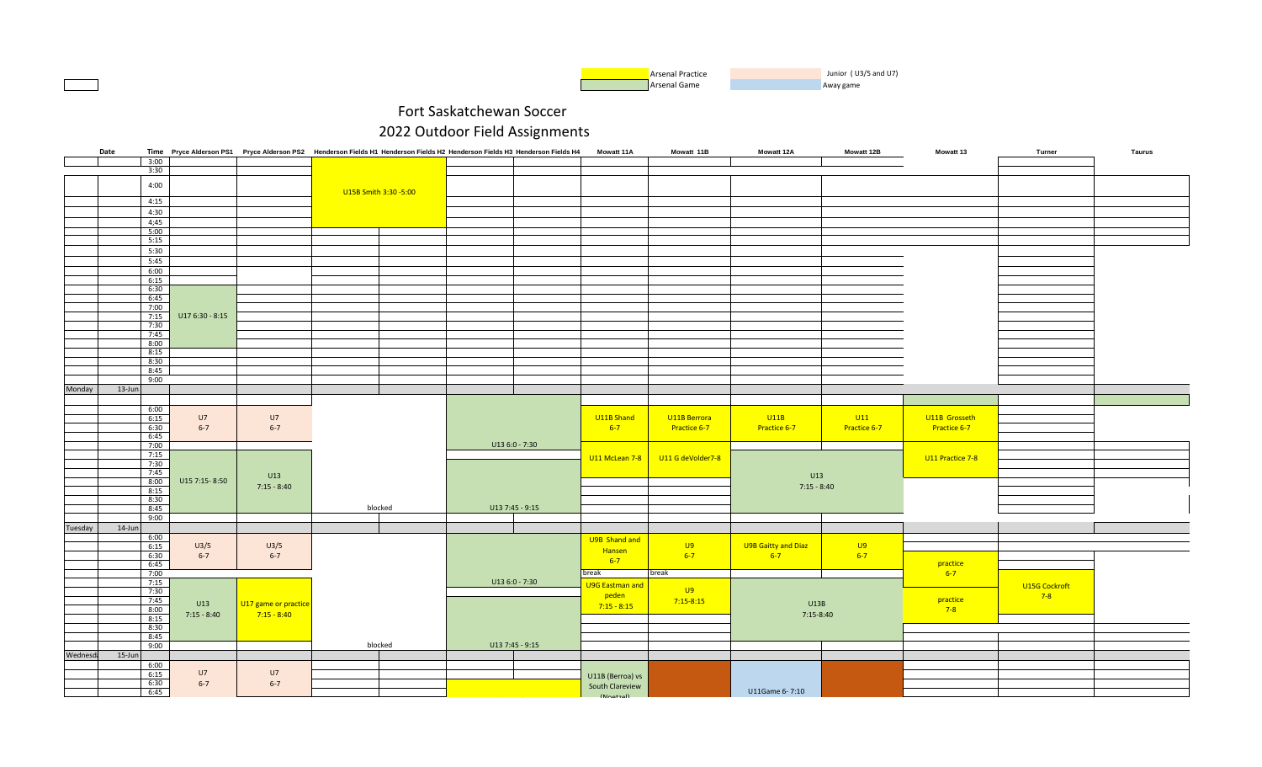

| 3:00<br>3:30<br>4:00<br>U15B Smith 3:30 -5:00<br>4:15<br>4:30<br>4;45<br>5:00<br>5:15<br>5:30<br>5:45<br>6:00<br>6:15<br>6:30<br>6:45 |               |
|---------------------------------------------------------------------------------------------------------------------------------------|---------------|
|                                                                                                                                       |               |
|                                                                                                                                       |               |
|                                                                                                                                       |               |
|                                                                                                                                       |               |
|                                                                                                                                       |               |
|                                                                                                                                       |               |
|                                                                                                                                       |               |
|                                                                                                                                       |               |
|                                                                                                                                       |               |
|                                                                                                                                       |               |
|                                                                                                                                       |               |
|                                                                                                                                       |               |
|                                                                                                                                       |               |
|                                                                                                                                       |               |
|                                                                                                                                       |               |
|                                                                                                                                       |               |
| 7:00                                                                                                                                  |               |
| 7:15<br>U17 6:30 - 8:15<br>7:30                                                                                                       |               |
| 7:45                                                                                                                                  |               |
| 8:00                                                                                                                                  |               |
| 8:15                                                                                                                                  |               |
| 8:30                                                                                                                                  |               |
| 8:45                                                                                                                                  |               |
| 9:00                                                                                                                                  |               |
| Monday<br>13-Jun                                                                                                                      |               |
|                                                                                                                                       |               |
|                                                                                                                                       |               |
| 6:00<br>U11B Berrora                                                                                                                  |               |
| U7<br>U7<br>U11B Shand<br>U11B<br> U11 <br>U11B Grosseth<br>6:15                                                                      |               |
| 6:30<br>$6 - 7$<br>$6 - 7$<br>$6-7$<br>Practice 6-7<br>Practice 6-7<br>Practice 6-7<br>Practice 6-7<br>6:45                           |               |
| 7:00<br>U13 6:0 - 7:30                                                                                                                |               |
| 7:15                                                                                                                                  |               |
| U11 McLean 7-8<br>U11 G deVolder7-8<br>U11 Practice 7-8<br>7:30                                                                       |               |
| 7:45                                                                                                                                  |               |
| U13<br>U13<br>8:00<br>U15 7:15-8:50                                                                                                   |               |
| $7:15 - 8:40$<br>$7:15 - 8:40$<br>8:15                                                                                                |               |
| 8:30                                                                                                                                  |               |
| U13 7:45 - 9:15<br>8:45<br>blocked                                                                                                    |               |
| 9:00                                                                                                                                  |               |
| Tuesday<br>14-Jun                                                                                                                     |               |
| 6:00                                                                                                                                  |               |
| U9B Shand and<br>U9<br>U9B Gaitty and Diaz<br>U9<br>U3/5<br>U3/5<br>6:15                                                              |               |
| Hansen<br>6:30<br>$6 - 7$<br>$6 - 7$<br>$6 - 7$<br>$6 - 7$<br>$6 - 7$                                                                 |               |
| $6-7$<br>6:45<br>practice                                                                                                             |               |
| 7:00<br>break<br>break<br>$6 - 7$                                                                                                     |               |
| U13 6:0 - 7:30<br>7:15                                                                                                                |               |
| <b>U9G Eastman and</b><br><b>U9</b><br>7:30                                                                                           | U15G Cockroft |
| peden<br>7:45<br>practice<br>$7:15-8:15$                                                                                              | $7-8$         |
| U13<br>U17 game or practice<br>U13B<br>$7:15 - 8:15$<br>8:00<br>$7-8$                                                                 |               |
| $7:15 - 8:40$<br>$7:15 - 8:40$<br>7:15-8:40<br>8:15                                                                                   |               |
| 8:30                                                                                                                                  |               |
| 8:45                                                                                                                                  |               |
| 9:00<br>blocked<br>U13 7:45 - 9:15                                                                                                    |               |
| Wednesda<br>15-Jun                                                                                                                    |               |
| 6:00                                                                                                                                  |               |
| U7<br>U7<br>6:15                                                                                                                      |               |
| U11B (Berroa) vs<br>6:30<br>$6 - 7$<br>$6 - 7$                                                                                        |               |
| South Clareview<br>6:45<br>U11Game 6-7:10                                                                                             |               |
| $(M_{\text{outroll}})$                                                                                                                |               |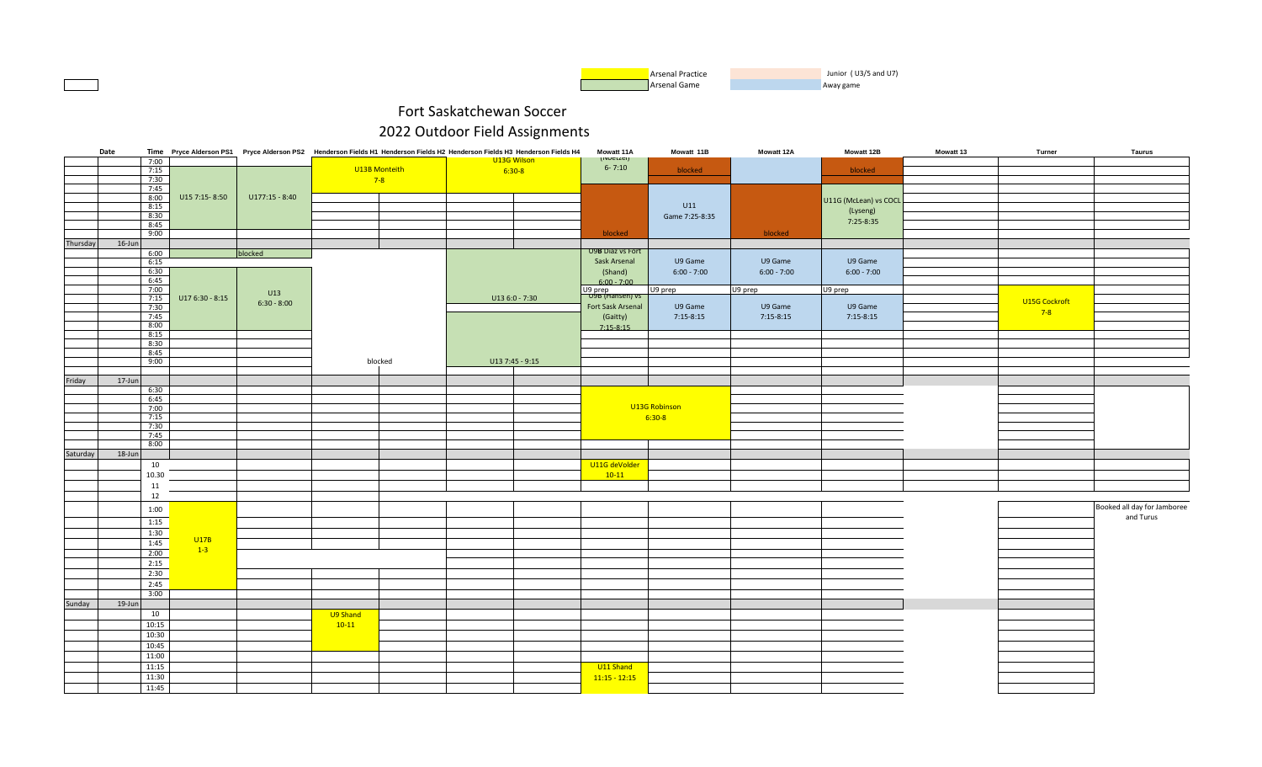

|          | Date           |                 | Time Pryce Alderson PS1 Pryce Alderson PS2 Henderson Fields H1 Henderson Fields H2 Henderson Fields H3 Henderson Fields H4 |          |               |                 | Mowatt 11A                      | Mowatt 11B     | Mowatt 12A    | Mowatt 12B            | Mowatt 13 | Turner        | <b>Taurus</b>               |
|----------|----------------|-----------------|----------------------------------------------------------------------------------------------------------------------------|----------|---------------|-----------------|---------------------------------|----------------|---------------|-----------------------|-----------|---------------|-----------------------------|
|          | 7:00           |                 |                                                                                                                            |          |               | U13G Wilson     | <i>(INDELLEI)</i><br>$6 - 7:10$ |                |               |                       |           |               |                             |
|          | 7:15           |                 |                                                                                                                            |          | U13B Monteith | $6:30-8$        |                                 | blocked        |               | blocked               |           |               |                             |
|          | 7:30<br>7:45   |                 |                                                                                                                            |          | $7-8$         |                 |                                 |                |               |                       |           |               |                             |
|          | 8:00           | U15 7:15-8:50   | $U177:15 - 8:40$                                                                                                           |          |               |                 |                                 |                |               | U11G (McLean) vs COCL |           |               |                             |
|          | 8:15           |                 |                                                                                                                            |          |               |                 |                                 | U11            |               |                       |           |               |                             |
|          | 8:30           |                 |                                                                                                                            |          |               |                 |                                 | Game 7:25-8:35 |               | (Lyseng)<br>7:25-8:35 |           |               |                             |
|          | 8:45           |                 |                                                                                                                            |          |               |                 |                                 |                |               |                       |           |               |                             |
|          | 9:00           |                 |                                                                                                                            |          |               |                 | blocked                         |                | blocked       |                       |           |               |                             |
| Thursday | 16-Jun<br>6:00 |                 | blocked                                                                                                                    |          |               |                 | U9B Diaz vs Fort                |                |               |                       |           |               |                             |
|          | 6:15           |                 |                                                                                                                            |          |               |                 | Sask Arsenal                    | U9 Game        | U9 Game       | U9 Game               |           |               |                             |
|          | 6:30           |                 |                                                                                                                            |          |               |                 | (Shand)                         | $6:00 - 7:00$  | $6:00 - 7:00$ | $6:00 - 7:00$         |           |               |                             |
|          | 6:45           |                 |                                                                                                                            |          |               |                 | $6:00 - 7:00$                   |                |               |                       |           |               |                             |
|          | 7:00           |                 | U13                                                                                                                        |          |               |                 | U9 prep<br>U9B (Hansen) vs      | U9 prep        | U9 prep       | U9 prep               |           |               |                             |
|          | 7:15<br>7:30   | U17 6:30 - 8:15 | $6:30 - 8:00$                                                                                                              |          |               | U13 6:0 - 7:30  | Fort Sask Arsenal               | U9 Game        | U9 Game       | U9 Game               |           | U15G Cockroft |                             |
|          | 7:45           |                 |                                                                                                                            |          |               |                 | (Gaitty)                        | $7:15-8:15$    | $7:15-8:15$   | $7:15-8:15$           |           | $7-8$         |                             |
|          | 8:00           |                 |                                                                                                                            |          |               |                 | $7:15-8:15$                     |                |               |                       |           |               |                             |
|          | 8:15           |                 |                                                                                                                            |          |               |                 |                                 |                |               |                       |           |               |                             |
|          | 8:30           |                 |                                                                                                                            |          |               |                 |                                 |                |               |                       |           |               |                             |
|          | 8:45<br>9:00   |                 |                                                                                                                            |          | blocked       | U13 7:45 - 9:15 |                                 |                |               |                       |           |               |                             |
|          |                |                 |                                                                                                                            |          |               |                 |                                 |                |               |                       |           |               |                             |
| Friday   | 17-Jun         |                 |                                                                                                                            |          |               |                 |                                 |                |               |                       |           |               |                             |
|          | 6:30           |                 |                                                                                                                            |          |               |                 |                                 |                |               |                       |           |               |                             |
|          | 6:45           |                 |                                                                                                                            |          |               |                 |                                 | U13G Robinson  |               |                       |           |               |                             |
|          | 7:00<br>7:15   |                 |                                                                                                                            |          |               |                 |                                 | $6:30-8$       |               |                       |           |               |                             |
|          | 7:30           |                 |                                                                                                                            |          |               |                 |                                 |                |               |                       |           |               |                             |
|          | 7:45           |                 |                                                                                                                            |          |               |                 |                                 |                |               |                       |           |               |                             |
|          | 8:00           |                 |                                                                                                                            |          |               |                 |                                 |                |               |                       |           |               |                             |
| Saturday | 18-Jun         |                 |                                                                                                                            |          |               |                 |                                 |                |               |                       |           |               |                             |
|          | 10             |                 |                                                                                                                            |          |               |                 | U11G deVolder                   |                |               |                       |           |               |                             |
|          | 10.30<br>11    |                 |                                                                                                                            |          |               |                 | $10-11$                         |                |               |                       |           |               |                             |
|          | 12             |                 |                                                                                                                            |          |               |                 |                                 |                |               |                       |           |               |                             |
|          |                |                 |                                                                                                                            |          |               |                 |                                 |                |               |                       |           |               | Booked all day for Jamboree |
|          | 1:00           |                 |                                                                                                                            |          |               |                 |                                 |                |               |                       |           |               | and Turus                   |
|          | 1:15           |                 |                                                                                                                            |          |               |                 |                                 |                |               |                       |           |               |                             |
|          | 1:30           | U17B            |                                                                                                                            |          |               |                 |                                 |                |               |                       |           |               |                             |
|          | 1:45           | $1-3$           |                                                                                                                            |          |               |                 |                                 |                |               |                       |           |               |                             |
|          | 2:00<br>2:15   |                 |                                                                                                                            |          |               |                 |                                 |                |               |                       |           |               |                             |
|          | 2:30           |                 |                                                                                                                            |          |               |                 |                                 |                |               |                       |           |               |                             |
|          | 2:45           |                 |                                                                                                                            |          |               |                 |                                 |                |               |                       |           |               |                             |
|          | 3:00           |                 |                                                                                                                            |          |               |                 |                                 |                |               |                       |           |               |                             |
| Sunday   | 19-Jun         |                 |                                                                                                                            |          |               |                 |                                 |                |               |                       |           |               |                             |
|          | 10             |                 |                                                                                                                            | U9 Shand |               |                 |                                 |                |               |                       |           |               |                             |
|          | 10:15          |                 |                                                                                                                            | $10-11$  |               |                 |                                 |                |               |                       |           |               |                             |
|          | 10:30          |                 |                                                                                                                            |          |               |                 |                                 |                |               |                       |           |               |                             |
|          | 10:45          |                 |                                                                                                                            |          |               |                 |                                 |                |               |                       |           |               |                             |
|          | 11:00          |                 |                                                                                                                            |          |               |                 |                                 |                |               |                       |           |               |                             |
|          | 11:15          |                 |                                                                                                                            |          |               |                 | U11 Shand                       |                |               |                       |           |               |                             |
|          | 11:30          |                 |                                                                                                                            |          |               |                 | $11:15 - 12:15$                 |                |               |                       |           |               |                             |
|          | 11:45          |                 |                                                                                                                            |          |               |                 |                                 |                |               |                       |           |               |                             |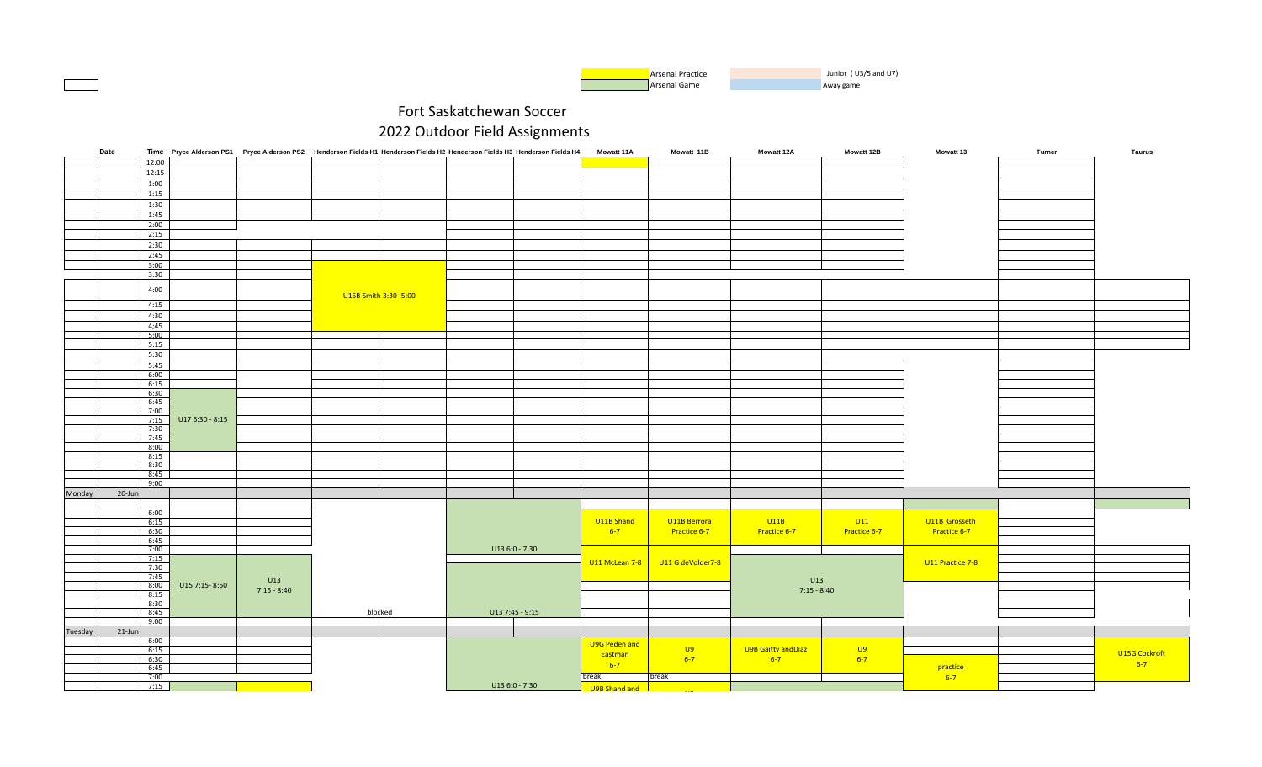

|         | Date      |              |                 | Time Pryce Alderson PS1 Pryce Alderson PS2 Henderson Fields H1 Henderson Fields H2 Henderson Fields H3 Henderson Fields H4 |                       |                 | <b>Mowatt 11A</b> | Mowatt 11B        | <b>Mowatt 12A</b>   | <b>Mowatt 12B</b> | <b>Mowatt 13</b> | Turner | Taurus        |
|---------|-----------|--------------|-----------------|----------------------------------------------------------------------------------------------------------------------------|-----------------------|-----------------|-------------------|-------------------|---------------------|-------------------|------------------|--------|---------------|
|         |           | 12:00        |                 |                                                                                                                            |                       |                 |                   |                   |                     |                   |                  |        |               |
|         |           | 12:15        |                 |                                                                                                                            |                       |                 |                   |                   |                     |                   |                  |        |               |
|         |           | 1:00         |                 |                                                                                                                            |                       |                 |                   |                   |                     |                   |                  |        |               |
|         |           |              |                 |                                                                                                                            |                       |                 |                   |                   |                     |                   |                  |        |               |
|         |           | 1:15         |                 |                                                                                                                            |                       |                 |                   |                   |                     |                   |                  |        |               |
|         |           | 1:30         |                 |                                                                                                                            |                       |                 |                   |                   |                     |                   |                  |        |               |
|         |           | 1:45         |                 |                                                                                                                            |                       |                 |                   |                   |                     |                   |                  |        |               |
|         |           | 2:00         |                 |                                                                                                                            |                       |                 |                   |                   |                     |                   |                  |        |               |
|         |           | 2:15         |                 |                                                                                                                            |                       |                 |                   |                   |                     |                   |                  |        |               |
|         |           | 2:30         |                 |                                                                                                                            |                       |                 |                   |                   |                     |                   |                  |        |               |
|         |           | 2:45         |                 |                                                                                                                            |                       |                 |                   |                   |                     |                   |                  |        |               |
|         |           |              |                 |                                                                                                                            |                       |                 |                   |                   |                     |                   |                  |        |               |
|         |           | 3:00         |                 |                                                                                                                            |                       |                 |                   |                   |                     |                   |                  |        |               |
|         |           | 3:30         |                 |                                                                                                                            |                       |                 |                   |                   |                     |                   |                  |        |               |
|         |           | 4:00         |                 |                                                                                                                            |                       |                 |                   |                   |                     |                   |                  |        |               |
|         |           |              |                 |                                                                                                                            | U15B Smith 3:30 -5:00 |                 |                   |                   |                     |                   |                  |        |               |
|         |           | 4:15         |                 |                                                                                                                            |                       |                 |                   |                   |                     |                   |                  |        |               |
|         |           | 4:30         |                 |                                                                                                                            |                       |                 |                   |                   |                     |                   |                  |        |               |
|         |           | 4;45         |                 |                                                                                                                            |                       |                 |                   |                   |                     |                   |                  |        |               |
|         |           | 5:00         |                 |                                                                                                                            |                       |                 |                   |                   |                     |                   |                  |        |               |
|         |           | 5:15         |                 |                                                                                                                            |                       |                 |                   |                   |                     |                   |                  |        |               |
|         |           | 5:30         |                 |                                                                                                                            |                       |                 |                   |                   |                     |                   |                  |        |               |
|         |           |              |                 |                                                                                                                            |                       |                 |                   |                   |                     |                   |                  |        |               |
|         |           | 5:45         |                 |                                                                                                                            |                       |                 |                   |                   |                     |                   |                  |        |               |
|         |           | 6:00         |                 |                                                                                                                            |                       |                 |                   |                   |                     |                   |                  |        |               |
|         |           | 6:15         |                 |                                                                                                                            |                       |                 |                   |                   |                     |                   |                  |        |               |
|         |           | 6:30         |                 |                                                                                                                            |                       |                 |                   |                   |                     |                   |                  |        |               |
|         |           | 6:45         |                 |                                                                                                                            |                       |                 |                   |                   |                     |                   |                  |        |               |
|         |           | 7:00         |                 |                                                                                                                            |                       |                 |                   |                   |                     |                   |                  |        |               |
|         |           | 7:15         | U17 6:30 - 8:15 |                                                                                                                            |                       |                 |                   |                   |                     |                   |                  |        |               |
|         |           | 7:30<br>7:45 |                 |                                                                                                                            |                       |                 |                   |                   |                     |                   |                  |        |               |
|         |           | 8:00         |                 |                                                                                                                            |                       |                 |                   |                   |                     |                   |                  |        |               |
|         |           | 8:15         |                 |                                                                                                                            |                       |                 |                   |                   |                     |                   |                  |        |               |
|         |           | 8:30         |                 |                                                                                                                            |                       |                 |                   |                   |                     |                   |                  |        |               |
|         |           | 8:45         |                 |                                                                                                                            |                       |                 |                   |                   |                     |                   |                  |        |               |
|         |           | 9:00         |                 |                                                                                                                            |                       |                 |                   |                   |                     |                   |                  |        |               |
|         |           |              |                 |                                                                                                                            |                       |                 |                   |                   |                     |                   |                  |        |               |
| Monday  | 20-Jun    |              |                 |                                                                                                                            |                       |                 |                   |                   |                     |                   |                  |        |               |
|         |           |              |                 |                                                                                                                            |                       |                 |                   |                   |                     |                   |                  |        |               |
|         |           | 6:00         |                 |                                                                                                                            |                       |                 |                   |                   |                     |                   |                  |        |               |
|         |           | 6:15         |                 |                                                                                                                            |                       |                 | U11B Shand        | U11B Berrora      | U11B                | U11               | U11B Grosseth    |        |               |
|         |           | 6:30         |                 |                                                                                                                            |                       |                 | $6-7$             | Practice 6-7      | Practice 6-7        | Practice 6-7      | Practice 6-7     |        |               |
|         |           | 6:45         |                 |                                                                                                                            |                       |                 |                   |                   |                     |                   |                  |        |               |
|         |           | 7:00         |                 |                                                                                                                            |                       | U13 6:0 - 7:30  |                   |                   |                     |                   |                  |        |               |
|         |           | 7:15         |                 |                                                                                                                            |                       |                 | U11 McLean 7-8    | U11 G deVolder7-8 |                     |                   | U11 Practice 7-8 |        |               |
|         |           | 7:30         |                 |                                                                                                                            |                       |                 |                   |                   |                     |                   |                  |        |               |
|         |           | 7:45         |                 | U13                                                                                                                        |                       |                 |                   |                   | U13                 |                   |                  |        |               |
|         |           | 8:00         | U15 7:15-8:50   | $7:15 - 8:40$                                                                                                              |                       |                 |                   |                   | $7:15 - 8:40$       |                   |                  |        |               |
|         |           | 8:15         |                 |                                                                                                                            |                       |                 |                   |                   |                     |                   |                  |        |               |
|         |           | 8:30         |                 |                                                                                                                            |                       |                 |                   |                   |                     |                   |                  |        |               |
|         |           | 8:45         |                 |                                                                                                                            | blocked               | U13 7:45 - 9:15 |                   |                   |                     |                   |                  |        |               |
|         |           | 9:00         |                 |                                                                                                                            |                       |                 |                   |                   |                     |                   |                  |        |               |
| Tuesday | $21$ -Jun |              |                 |                                                                                                                            |                       |                 |                   |                   |                     |                   |                  |        |               |
|         |           | 6:00         |                 |                                                                                                                            |                       |                 | U9G Peden and     |                   |                     |                   |                  |        |               |
|         |           | 6:15         |                 |                                                                                                                            |                       |                 | Eastman           | <b>U9</b>         | U9B Gaitty and Diaz | <b>U9</b>         |                  |        | U15G Cockroft |
|         |           | 6:30         |                 |                                                                                                                            |                       |                 | $6 - 7$           | $6-7$             | $6 - 7$             | $6 - 7$           |                  |        | $6-7$         |
|         |           | 6:45         |                 |                                                                                                                            |                       |                 |                   |                   |                     |                   | practice         |        |               |
|         |           | 7:00         |                 |                                                                                                                            |                       |                 | break             | break             |                     |                   | $6 - 7$          |        |               |
|         |           | 7:15         |                 |                                                                                                                            |                       | $U136:0 - 7:30$ | U9B Shand and     |                   |                     |                   |                  |        |               |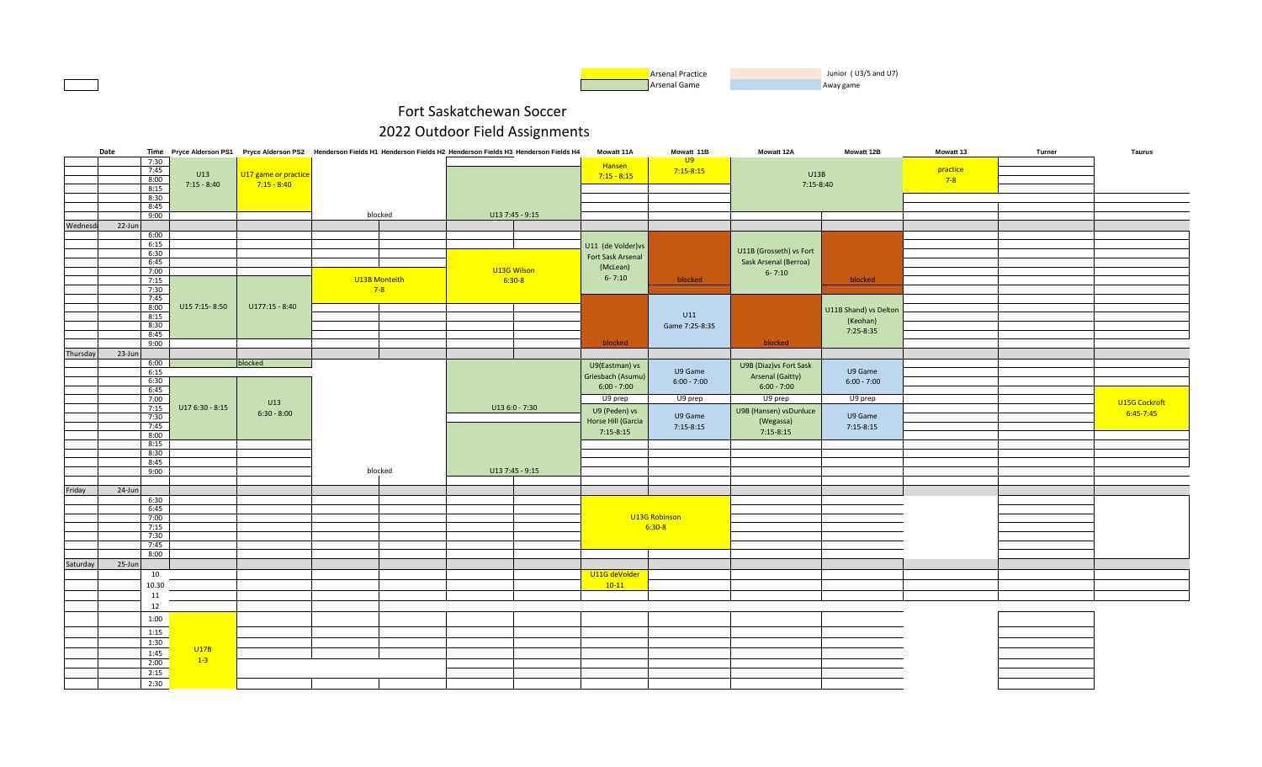

|          | Date      |       |                 |                      | Time Pryce Alderson PS1 Pryce Alderson PS2 Henderson Fields H1 Henderson Fields H2 Henderson Fields H3 Henderson Fields H4 |             |                 | Mowatt 11A         | Mowatt 11B      | <b>Mowatt 12A</b>       | Mowatt 12B            | Mowatt 13 | Turner | Taurus        |
|----------|-----------|-------|-----------------|----------------------|----------------------------------------------------------------------------------------------------------------------------|-------------|-----------------|--------------------|-----------------|-------------------------|-----------------------|-----------|--------|---------------|
|          |           | 7:30  |                 |                      |                                                                                                                            |             |                 | Hansen             | $\overline{U}9$ |                         |                       |           |        |               |
|          |           | 7:45  | U13             | U17 game or practice |                                                                                                                            |             |                 |                    | $7:15 - 8:15$   | U13B                    |                       | practice  |        |               |
|          |           | 8:00  |                 | $7:15 - 8:40$        |                                                                                                                            |             |                 | $7:15 - 8:15$      |                 |                         |                       | $7-8$     |        |               |
|          |           | 8:15  | $7:15 - 8:40$   |                      |                                                                                                                            |             |                 |                    |                 | 7:15-8:40               |                       |           |        |               |
|          |           | 8:30  |                 |                      |                                                                                                                            |             |                 |                    |                 |                         |                       |           |        |               |
|          |           | 8:45  |                 |                      |                                                                                                                            |             |                 |                    |                 |                         |                       |           |        |               |
|          |           | 9:00  |                 |                      | blocked                                                                                                                    |             | U13 7:45 - 9:15 |                    |                 |                         |                       |           |        |               |
| Wednesd: | 22-Jun    |       |                 |                      |                                                                                                                            |             |                 |                    |                 |                         |                       |           |        |               |
|          |           | 6:00  |                 |                      |                                                                                                                            |             |                 |                    |                 |                         |                       |           |        |               |
|          |           | 6:15  |                 |                      |                                                                                                                            |             |                 |                    |                 |                         |                       |           |        |               |
|          |           | 6:30  |                 |                      |                                                                                                                            |             |                 | U11 (de Volder) vs |                 | U11B (Grosseth) vs Fort |                       |           |        |               |
|          |           | 6:45  |                 |                      |                                                                                                                            |             |                 | Fort Sask Arsenal  |                 | Sask Arsenal (Berroa)   |                       |           |        |               |
|          |           | 7:00  |                 |                      |                                                                                                                            | U13G Wilson |                 | (McLean)           |                 |                         |                       |           |        |               |
|          |           | 7:15  |                 |                      | U13B Monteith                                                                                                              |             | $6:30-8$        | $6 - 7:10$         | blocked         | $6 - 7:10$              | blocked               |           |        |               |
|          |           | 7:30  |                 |                      | $7-8$                                                                                                                      |             |                 |                    |                 |                         |                       |           |        |               |
|          |           | 7:45  |                 |                      |                                                                                                                            |             |                 |                    |                 |                         |                       |           |        |               |
|          |           | 8:00  | U15 7:15-8:50   | $U177:15 - 8:40$     |                                                                                                                            |             |                 |                    |                 |                         |                       |           |        |               |
|          |           | 8:15  |                 |                      |                                                                                                                            |             |                 |                    | U11             |                         | U11B Shand) vs Delton |           |        |               |
|          |           | 8:30  |                 |                      |                                                                                                                            |             |                 |                    |                 |                         | (Keohan)              |           |        |               |
|          |           | 8:45  |                 |                      |                                                                                                                            |             |                 |                    | Game 7:25-8:35  |                         | 7:25-8:35             |           |        |               |
|          |           | 9:00  |                 |                      |                                                                                                                            |             |                 | blocked            |                 | blocked                 |                       |           |        |               |
|          |           |       |                 |                      |                                                                                                                            |             |                 |                    |                 |                         |                       |           |        |               |
| Thursday | 23-Jun    |       |                 |                      |                                                                                                                            |             |                 |                    |                 |                         |                       |           |        |               |
|          |           | 6:00  |                 | blocked              |                                                                                                                            |             |                 | U9(Eastman) vs     |                 | U9B (Diaz) vs Fort Sask |                       |           |        |               |
|          |           | 6:15  |                 |                      |                                                                                                                            |             |                 | Griesbach (Asumu)  | U9 Game         | Arsenal (Gaitty)        | U9 Game               |           |        |               |
|          |           | 6:30  |                 |                      |                                                                                                                            |             |                 | $6:00 - 7:00$      | $6:00 - 7:00$   | $6:00 - 7:00$           | $6:00 - 7:00$         |           |        |               |
|          |           | 6:45  |                 |                      |                                                                                                                            |             |                 |                    |                 |                         |                       |           |        |               |
|          |           | 7:00  |                 | U13                  |                                                                                                                            |             |                 | U9 prep            | U9 prep         | U9 prep                 | U9 prep               |           |        | U15G Cockroft |
|          |           | 7:15  | U17 6:30 - 8:15 | $6:30 - 8:00$        |                                                                                                                            |             | U13 6:0 - 7:30  | U9 (Peden) vs      |                 | U9B (Hansen) vsDunluce  |                       |           |        | 6:45-7:45     |
|          |           | 7:30  |                 |                      |                                                                                                                            |             |                 | Horse Hill (Garcia | U9 Game         | (Wegassa)               | U9 Game               |           |        |               |
|          |           | 7:45  |                 |                      |                                                                                                                            |             |                 | $7:15-8:15$        | $7:15-8:15$     | $7:15-8:15$             | $7:15-8:15$           |           |        |               |
|          |           | 8:00  |                 |                      |                                                                                                                            |             |                 |                    |                 |                         |                       |           |        |               |
|          |           | 8:15  |                 |                      |                                                                                                                            |             |                 |                    |                 |                         |                       |           |        |               |
|          |           | 8:30  |                 |                      |                                                                                                                            |             |                 |                    |                 |                         |                       |           |        |               |
|          |           | 8:45  |                 |                      |                                                                                                                            |             |                 |                    |                 |                         |                       |           |        |               |
|          |           | 9:00  |                 |                      | blocked                                                                                                                    |             | U13 7:45 - 9:15 |                    |                 |                         |                       |           |        |               |
|          |           |       |                 |                      |                                                                                                                            |             |                 |                    |                 |                         |                       |           |        |               |
| Friday   | $24$ -Jun |       |                 |                      |                                                                                                                            |             |                 |                    |                 |                         |                       |           |        |               |
|          |           | 6:30  |                 |                      |                                                                                                                            |             |                 |                    |                 |                         |                       |           |        |               |
|          |           | 6:45  |                 |                      |                                                                                                                            |             |                 |                    |                 |                         |                       |           |        |               |
|          |           | 7:00  |                 |                      |                                                                                                                            |             |                 |                    | U13G Robinson   |                         |                       |           |        |               |
|          |           | 7:15  |                 |                      |                                                                                                                            |             |                 |                    | $6:30-8$        |                         |                       |           |        |               |
|          |           | 7:30  |                 |                      |                                                                                                                            |             |                 |                    |                 |                         |                       |           |        |               |
|          |           | 7:45  |                 |                      |                                                                                                                            |             |                 |                    |                 |                         |                       |           |        |               |
|          |           | 8:00  |                 |                      |                                                                                                                            |             |                 |                    |                 |                         |                       |           |        |               |
| Saturday | 25-Jun    |       |                 |                      |                                                                                                                            |             |                 |                    |                 |                         |                       |           |        |               |
|          |           | 10    |                 |                      |                                                                                                                            |             |                 | U11G deVolder      |                 |                         |                       |           |        |               |
|          |           | 10.30 |                 |                      |                                                                                                                            |             |                 | $10-11$            |                 |                         |                       |           |        |               |
|          |           | 11    |                 |                      |                                                                                                                            |             |                 |                    |                 |                         |                       |           |        |               |
|          |           |       |                 |                      |                                                                                                                            |             |                 |                    |                 |                         |                       |           |        |               |
|          |           | 12    |                 |                      |                                                                                                                            |             |                 |                    |                 |                         |                       |           |        |               |
|          |           | 1:00  |                 |                      |                                                                                                                            |             |                 |                    |                 |                         |                       |           |        |               |
|          |           | 1:15  |                 |                      |                                                                                                                            |             |                 |                    |                 |                         |                       |           |        |               |
|          |           |       |                 |                      |                                                                                                                            |             |                 |                    |                 |                         |                       |           |        |               |
|          |           | 1:30  | U17B            |                      |                                                                                                                            |             |                 |                    |                 |                         |                       |           |        |               |
|          |           | 1:45  |                 |                      |                                                                                                                            |             |                 |                    |                 |                         |                       |           |        |               |
|          |           | 2:00  | $1-3$           |                      |                                                                                                                            |             |                 |                    |                 |                         |                       |           |        |               |
|          |           | 2:15  |                 |                      |                                                                                                                            |             |                 |                    |                 |                         |                       |           |        |               |
|          |           | 2:30  |                 |                      |                                                                                                                            |             |                 |                    |                 |                         |                       |           |        |               |
|          |           |       |                 |                      |                                                                                                                            |             |                 |                    |                 |                         |                       |           |        |               |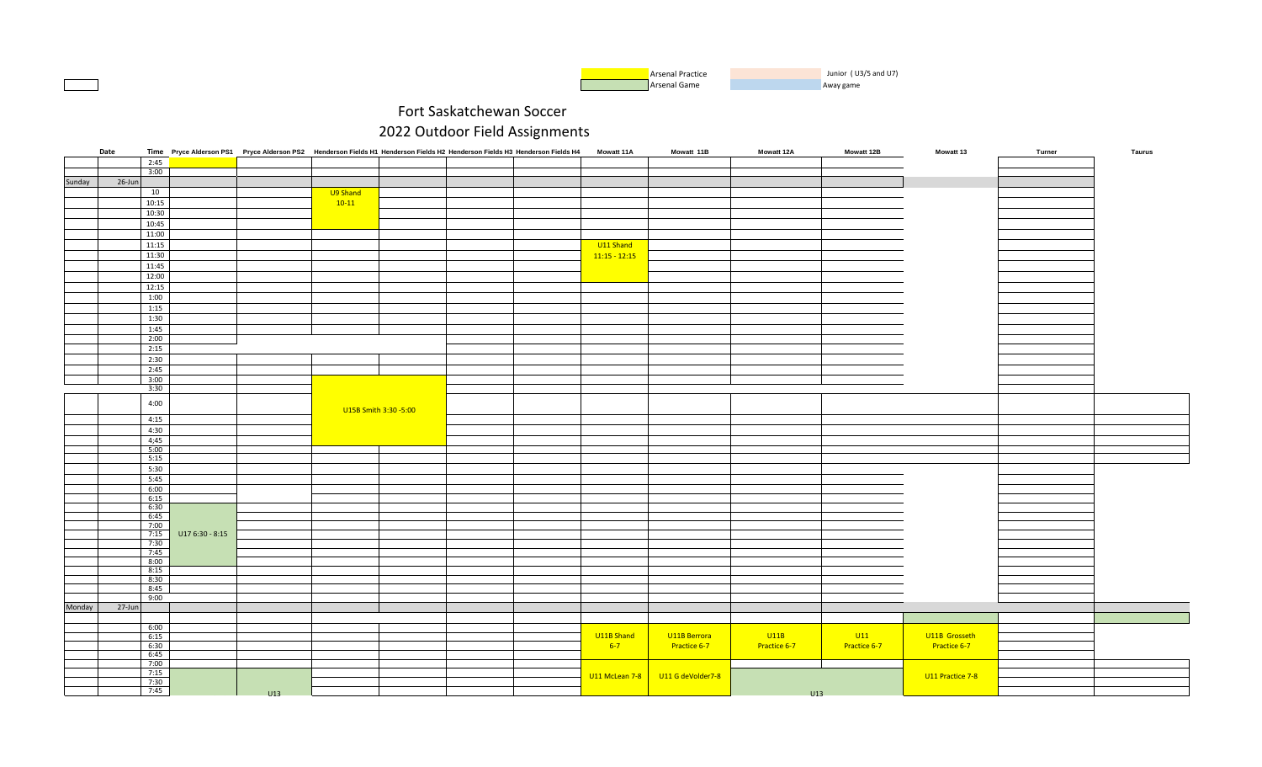

|        | Date       |       |                 | Time Pryce Alderson PS1 Pryce Alderson PS2 Henderson Fields H1 Henderson Fields H2 Henderson Fields H3 Henderson Fields H4 |          |                       |  | <b>Mowatt 11A</b> | Mowatt 11B        | <b>Mowatt 12A</b> | Mowatt 12B   | <b>Mowatt 13</b> | Turner | Taurus |
|--------|------------|-------|-----------------|----------------------------------------------------------------------------------------------------------------------------|----------|-----------------------|--|-------------------|-------------------|-------------------|--------------|------------------|--------|--------|
|        |            | 2:45  |                 |                                                                                                                            |          |                       |  |                   |                   |                   |              |                  |        |        |
|        |            | 3:00  |                 |                                                                                                                            |          |                       |  |                   |                   |                   |              |                  |        |        |
| Sunday | 26-Jun     |       |                 |                                                                                                                            |          |                       |  |                   |                   |                   |              |                  |        |        |
|        |            | 10    |                 |                                                                                                                            | U9 Shand |                       |  |                   |                   |                   |              |                  |        |        |
|        |            |       |                 |                                                                                                                            |          |                       |  |                   |                   |                   |              |                  |        |        |
|        |            | 10:15 |                 |                                                                                                                            | $10-11$  |                       |  |                   |                   |                   |              |                  |        |        |
|        |            | 10:30 |                 |                                                                                                                            |          |                       |  |                   |                   |                   |              |                  |        |        |
|        |            | 10:45 |                 |                                                                                                                            |          |                       |  |                   |                   |                   |              |                  |        |        |
|        |            | 11:00 |                 |                                                                                                                            |          |                       |  |                   |                   |                   |              |                  |        |        |
|        |            | 11:15 |                 |                                                                                                                            |          |                       |  | U11 Shand         |                   |                   |              |                  |        |        |
|        |            | 11:30 |                 |                                                                                                                            |          |                       |  | $11:15 - 12:15$   |                   |                   |              |                  |        |        |
|        |            |       |                 |                                                                                                                            |          |                       |  |                   |                   |                   |              |                  |        |        |
|        |            | 11:45 |                 |                                                                                                                            |          |                       |  |                   |                   |                   |              |                  |        |        |
|        |            | 12:00 |                 |                                                                                                                            |          |                       |  |                   |                   |                   |              |                  |        |        |
|        |            | 12:15 |                 |                                                                                                                            |          |                       |  |                   |                   |                   |              |                  |        |        |
|        |            | 1:00  |                 |                                                                                                                            |          |                       |  |                   |                   |                   |              |                  |        |        |
|        |            | 1:15  |                 |                                                                                                                            |          |                       |  |                   |                   |                   |              |                  |        |        |
|        |            | 1:30  |                 |                                                                                                                            |          |                       |  |                   |                   |                   |              |                  |        |        |
|        |            |       |                 |                                                                                                                            |          |                       |  |                   |                   |                   |              |                  |        |        |
|        |            | 1:45  |                 |                                                                                                                            |          |                       |  |                   |                   |                   |              |                  |        |        |
|        |            | 2:00  |                 |                                                                                                                            |          |                       |  |                   |                   |                   |              |                  |        |        |
|        |            | 2:15  |                 |                                                                                                                            |          |                       |  |                   |                   |                   |              |                  |        |        |
|        |            | 2:30  |                 |                                                                                                                            |          |                       |  |                   |                   |                   |              |                  |        |        |
|        |            | 2:45  |                 |                                                                                                                            |          |                       |  |                   |                   |                   |              |                  |        |        |
|        |            | 3:00  |                 |                                                                                                                            |          |                       |  |                   |                   |                   |              |                  |        |        |
|        |            | 3:30  |                 |                                                                                                                            |          |                       |  |                   |                   |                   |              |                  |        |        |
|        |            |       |                 |                                                                                                                            |          |                       |  |                   |                   |                   |              |                  |        |        |
|        |            | 4:00  |                 |                                                                                                                            |          |                       |  |                   |                   |                   |              |                  |        |        |
|        |            |       |                 |                                                                                                                            |          | U15B Smith 3:30 -5:00 |  |                   |                   |                   |              |                  |        |        |
|        |            | 4:15  |                 |                                                                                                                            |          |                       |  |                   |                   |                   |              |                  |        |        |
|        |            | 4:30  |                 |                                                                                                                            |          |                       |  |                   |                   |                   |              |                  |        |        |
|        |            | 4;45  |                 |                                                                                                                            |          |                       |  |                   |                   |                   |              |                  |        |        |
|        |            | 5:00  |                 |                                                                                                                            |          |                       |  |                   |                   |                   |              |                  |        |        |
|        |            | 5:15  |                 |                                                                                                                            |          |                       |  |                   |                   |                   |              |                  |        |        |
|        |            | 5:30  |                 |                                                                                                                            |          |                       |  |                   |                   |                   |              |                  |        |        |
|        |            | 5:45  |                 |                                                                                                                            |          |                       |  |                   |                   |                   |              |                  |        |        |
|        |            | 6:00  |                 |                                                                                                                            |          |                       |  |                   |                   |                   |              |                  |        |        |
|        |            | 6:15  |                 |                                                                                                                            |          |                       |  |                   |                   |                   |              |                  |        |        |
|        |            | 6:30  |                 |                                                                                                                            |          |                       |  |                   |                   |                   |              |                  |        |        |
|        |            | 6:45  |                 |                                                                                                                            |          |                       |  |                   |                   |                   |              |                  |        |        |
|        |            | 7:00  |                 |                                                                                                                            |          |                       |  |                   |                   |                   |              |                  |        |        |
|        |            | 7:15  | U17 6:30 - 8:15 |                                                                                                                            |          |                       |  |                   |                   |                   |              |                  |        |        |
|        |            | 7:30  |                 |                                                                                                                            |          |                       |  |                   |                   |                   |              |                  |        |        |
|        |            | 7:45  |                 |                                                                                                                            |          |                       |  |                   |                   |                   |              |                  |        |        |
|        |            | 8:00  |                 |                                                                                                                            |          |                       |  |                   |                   |                   |              |                  |        |        |
|        |            | 8:15  |                 |                                                                                                                            |          |                       |  |                   |                   |                   |              |                  |        |        |
|        |            | 8:30  |                 |                                                                                                                            |          |                       |  |                   |                   |                   |              |                  |        |        |
|        |            | 8:45  |                 |                                                                                                                            |          |                       |  |                   |                   |                   |              |                  |        |        |
|        |            | 9:00  |                 |                                                                                                                            |          |                       |  |                   |                   |                   |              |                  |        |        |
|        |            |       |                 |                                                                                                                            |          |                       |  |                   |                   |                   |              |                  |        |        |
| Monday | $27 - Jun$ |       |                 |                                                                                                                            |          |                       |  |                   |                   |                   |              |                  |        |        |
|        |            |       |                 |                                                                                                                            |          |                       |  |                   |                   |                   |              |                  |        |        |
|        |            | 6:00  |                 |                                                                                                                            |          |                       |  |                   |                   |                   |              |                  |        |        |
|        |            | 6:15  |                 |                                                                                                                            |          |                       |  | U11B Shand        | U11B Berrora      | U11B              | U11          | U11B Grosseth    |        |        |
|        |            | 6:30  |                 |                                                                                                                            |          |                       |  | $6-7$             | Practice 6-7      | Practice 6-7      | Practice 6-7 | Practice 6-7     |        |        |
|        |            | 6:45  |                 |                                                                                                                            |          |                       |  |                   |                   |                   |              |                  |        |        |
|        |            | 7:00  |                 |                                                                                                                            |          |                       |  |                   |                   |                   |              |                  |        |        |
|        |            | 7:15  |                 |                                                                                                                            |          |                       |  | U11 McLean 7-8    | U11 G deVolder7-8 |                   |              | U11 Practice 7-8 |        |        |
|        |            | 7:30  |                 |                                                                                                                            |          |                       |  |                   |                   |                   |              |                  |        |        |
|        |            | 7:45  |                 | 1113                                                                                                                       |          |                       |  |                   |                   | 1113              |              |                  |        |        |
|        |            |       |                 |                                                                                                                            |          |                       |  |                   |                   |                   |              |                  |        |        |